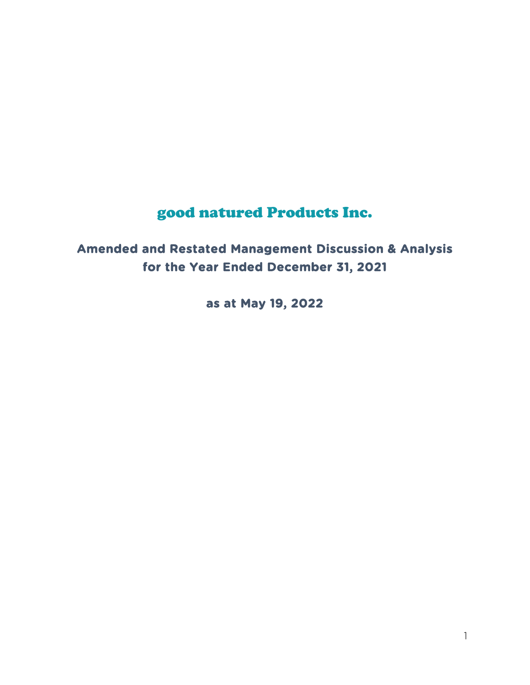# good natured Products Inc.

# **Amended and Restated Management Discussion & Analysis for the Year Ended December 31, 2021**

**as at May 19, 2022**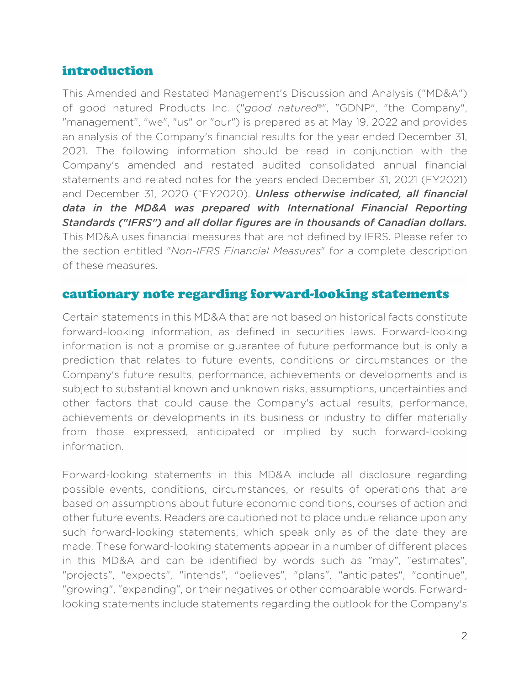## introduction

This Amended and Restated Management's Discussion and Analysis ("MD&A") of good natured Products Inc. ("*good natured*®", "GDNP", "the Company", "management", "we", "us" or "our") is prepared as at May 19, 2022 and provides an analysis of the Company's financial results for the year ended December 31, 2021. The following information should be read in conjunction with the Company's amended and restated audited consolidated annual financial statements and related notes for the years ended December 31, 2021 (FY2021) and December 31, 2020 ("FY2020). *Unless otherwise indicated, all financial*  data in the MD&A was prepared with International Financial Reporting *Standards ("IFRS") and all dollar figures are in thousands of Canadian dollars.* This MD&A uses financial measures that are not defined by IFRS. Please refer to the section entitled "*Non-IFRS Financial Measures*" for a complete description of these measures.

### cautionary note regarding forward-looking statements

Certain statements in this MD&A that are not based on historical facts constitute forward-looking information, as defined in securities laws. Forward-looking information is not a promise or guarantee of future performance but is only a prediction that relates to future events, conditions or circumstances or the Company's future results, performance, achievements or developments and is subject to substantial known and unknown risks, assumptions, uncertainties and other factors that could cause the Company's actual results, performance, achievements or developments in its business or industry to differ materially from those expressed, anticipated or implied by such forward-looking information.

Forward-looking statements in this MD&A include all disclosure regarding possible events, conditions, circumstances, or results of operations that are based on assumptions about future economic conditions, courses of action and other future events. Readers are cautioned not to place undue reliance upon any such forward-looking statements, which speak only as of the date they are made. These forward-looking statements appear in a number of different places in this MD&A and can be identified by words such as "may", "estimates", "projects", "expects", "intends", "believes", "plans", "anticipates", "continue", "growing", "expanding", or their negatives or other comparable words. Forwardlooking statements include statements regarding the outlook for the Company's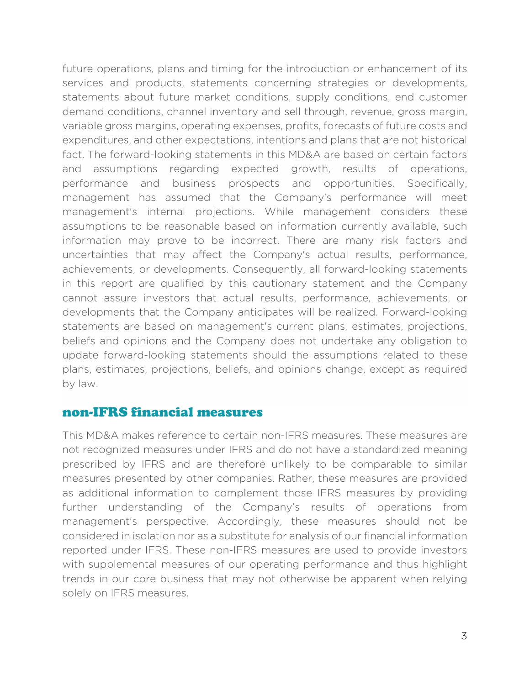future operations, plans and timing for the introduction or enhancement of its services and products, statements concerning strategies or developments, statements about future market conditions, supply conditions, end customer demand conditions, channel inventory and sell through, revenue, gross margin, variable gross margins, operating expenses, profits, forecasts of future costs and expenditures, and other expectations, intentions and plans that are not historical fact. The forward-looking statements in this MD&A are based on certain factors and assumptions regarding expected growth, results of operations, performance and business prospects and opportunities. Specifically, management has assumed that the Company's performance will meet management's internal projections. While management considers these assumptions to be reasonable based on information currently available, such information may prove to be incorrect. There are many risk factors and uncertainties that may affect the Company's actual results, performance, achievements, or developments. Consequently, all forward-looking statements in this report are qualified by this cautionary statement and the Company cannot assure investors that actual results, performance, achievements, or developments that the Company anticipates will be realized. Forward-looking statements are based on management's current plans, estimates, projections, beliefs and opinions and the Company does not undertake any obligation to update forward-looking statements should the assumptions related to these plans, estimates, projections, beliefs, and opinions change, except as required by law.

#### non-IFRS financial measures

This MD&A makes reference to certain non-IFRS measures. These measures are not recognized measures under IFRS and do not have a standardized meaning prescribed by IFRS and are therefore unlikely to be comparable to similar measures presented by other companies. Rather, these measures are provided as additional information to complement those IFRS measures by providing further understanding of the Company's results of operations from management's perspective. Accordingly, these measures should not be considered in isolation nor as a substitute for analysis of our financial information reported under IFRS. These non-IFRS measures are used to provide investors with supplemental measures of our operating performance and thus highlight trends in our core business that may not otherwise be apparent when relying solely on IFRS measures.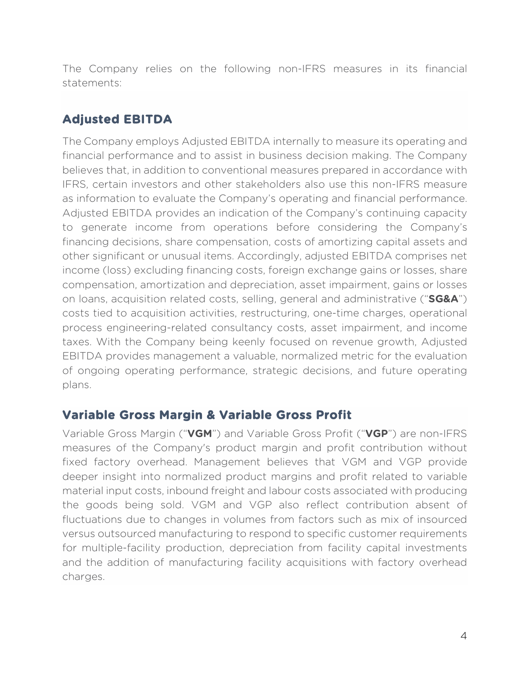The Company relies on the following non-IFRS measures in its financial statements:

# **Adjusted EBITDA**

The Company employs Adjusted EBITDA internally to measure its operating and financial performance and to assist in business decision making. The Company believes that, in addition to conventional measures prepared in accordance with IFRS, certain investors and other stakeholders also use this non-IFRS measure as information to evaluate the Company's operating and financial performance. Adjusted EBITDA provides an indication of the Company's continuing capacity to generate income from operations before considering the Company's financing decisions, share compensation, costs of amortizing capital assets and other significant or unusual items. Accordingly, adjusted EBITDA comprises net income (loss) excluding financing costs, foreign exchange gains or losses, share compensation, amortization and depreciation, asset impairment, gains or losses on loans, acquisition related costs, selling, general and administrative ("**SG&A**") costs tied to acquisition activities, restructuring, one-time charges, operational process engineering-related consultancy costs, asset impairment, and income taxes. With the Company being keenly focused on revenue growth, Adjusted EBITDA provides management a valuable, normalized metric for the evaluation of ongoing operating performance, strategic decisions, and future operating plans.

### **Variable Gross Margin & Variable Gross Profit**

Variable Gross Margin ("**VGM**") and Variable Gross Profit ("**VGP**") are non-IFRS measures of the Company's product margin and profit contribution without fixed factory overhead. Management believes that VGM and VGP provide deeper insight into normalized product margins and profit related to variable material input costs, inbound freight and labour costs associated with producing the goods being sold. VGM and VGP also reflect contribution absent of fluctuations due to changes in volumes from factors such as mix of insourced versus outsourced manufacturing to respond to specific customer requirements for multiple-facility production, depreciation from facility capital investments and the addition of manufacturing facility acquisitions with factory overhead charges.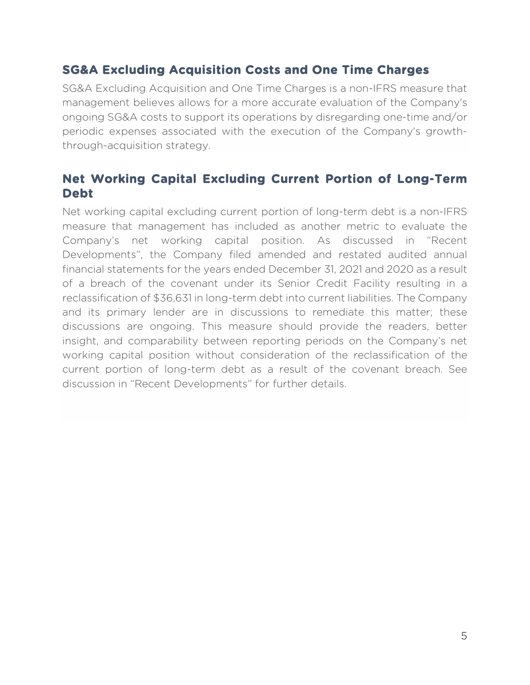### **SG&A Excluding Acquisition Costs and One Time Charges**

SG&A Excluding Acquisition and One Time Charges is a non-IFRS measure that management believes allows for a more accurate evaluation of the Company's ongoing SG&A costs to support its operations by disregarding one-time and/or periodic expenses associated with the execution of the Company's growththrough-acquisition strategy.

### **Net Working Capital Excluding Current Portion of Long-Term Debt**

Net working capital excluding current portion of long-term debt is a non-IFRS measure that management has included as another metric to evaluate the Company's net working capital position. As discussed in "Recent Developments", the Company filed amended and restated audited annual financial statements for the years ended December 31, 2021 and 2020 as a result of a breach of the covenant under its Senior Credit Facility resulting in a reclassification of \$36,631 in long-term debt into current liabilities. The Company and its primary lender are in discussions to remediate this matter; these discussions are ongoing. This measure should provide the readers, better insight, and comparability between reporting periods on the Company's net working capital position without consideration of the reclassification of the current portion of long-term debt as a result of the covenant breach. See discussion in "Recent Developments" for further details.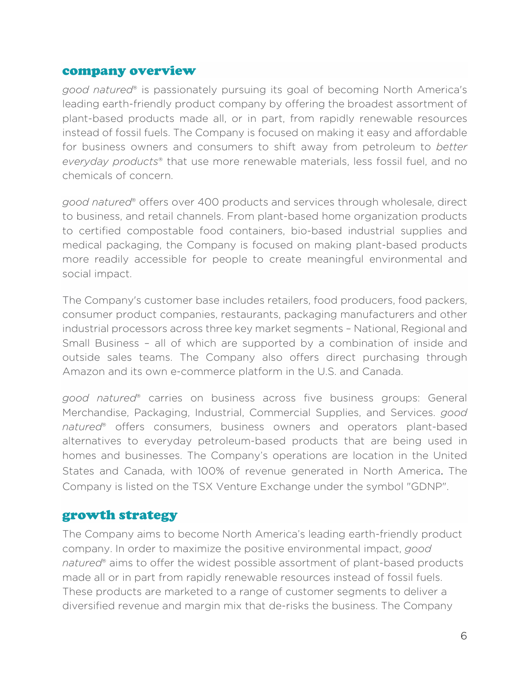#### company overview

*good natured*® is passionately pursuing its goal of becoming North America's leading earth-friendly product company by offering the broadest assortment of plant-based products made all, or in part, from rapidly renewable resources instead of fossil fuels. The Company is focused on making it easy and affordable for business owners and consumers to shift away from petroleum to *better everyday products*® that use more renewable materials, less fossil fuel, and no chemicals of concern.

*good natured*® offers over 400 products and services through wholesale, direct to business, and retail channels. From plant-based home organization products to certified compostable food containers, bio-based industrial supplies and medical packaging, the Company is focused on making plant-based products more readily accessible for people to create meaningful environmental and social impact.

The Company's customer base includes retailers, food producers, food packers, consumer product companies, restaurants, packaging manufacturers and other industrial processors across three key market segments – National, Regional and Small Business – all of which are supported by a combination of inside and outside sales teams. The Company also offers direct purchasing through Amazon and its own e-commerce platform in the U.S. and Canada.

*good natured*® carries on business across five business groups: General Merchandise, Packaging, Industrial, Commercial Supplies, and Services. *good natured*® offers consumers, business owners and operators plant-based alternatives to everyday petroleum-based products that are being used in homes and businesses. The Company's operations are location in the United States and Canada, with 100% of revenue generated in North America. The Company is listed on the TSX Venture Exchange under the symbol "GDNP".

#### growth strategy

The Company aims to become North America's leading earth-friendly product company. In order to maximize the positive environmental impact, *good natured*® aims to offer the widest possible assortment of plant-based products made all or in part from rapidly renewable resources instead of fossil fuels. These products are marketed to a range of customer segments to deliver a diversified revenue and margin mix that de-risks the business. The Company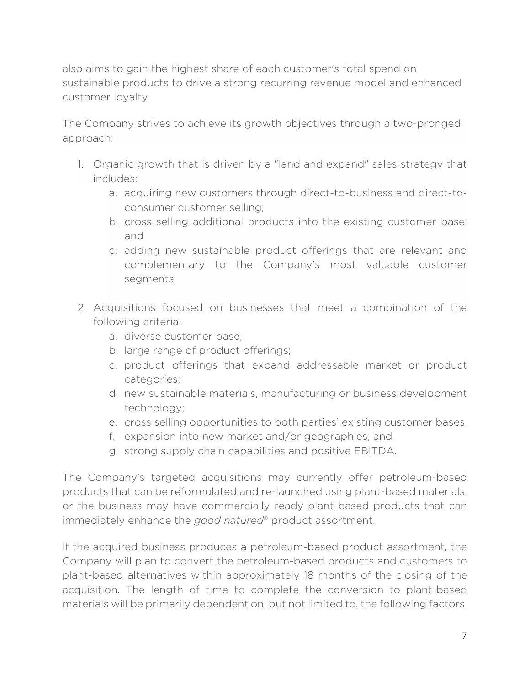also aims to gain the highest share of each customer's total spend on sustainable products to drive a strong recurring revenue model and enhanced customer loyalty.

The Company strives to achieve its growth objectives through a two-pronged approach:

- 1. Organic growth that is driven by a "land and expand" sales strategy that includes:
	- a. acquiring new customers through direct-to-business and direct-toconsumer customer selling;
	- b. cross selling additional products into the existing customer base; and
	- c. adding new sustainable product offerings that are relevant and complementary to the Company's most valuable customer segments.
- 2. Acquisitions focused on businesses that meet a combination of the following criteria:
	- a. diverse customer base;
	- b. large range of product offerings;
	- c. product offerings that expand addressable market or product categories;
	- d. new sustainable materials, manufacturing or business development technology;
	- e. cross selling opportunities to both parties' existing customer bases;
	- f. expansion into new market and/or geographies; and
	- g. strong supply chain capabilities and positive EBITDA.

The Company's targeted acquisitions may currently offer petroleum-based products that can be reformulated and re-launched using plant-based materials, or the business may have commercially ready plant-based products that can immediately enhance the *good natured*® product assortment.

If the acquired business produces a petroleum-based product assortment, the Company will plan to convert the petroleum-based products and customers to plant-based alternatives within approximately 18 months of the closing of the acquisition. The length of time to complete the conversion to plant-based materials will be primarily dependent on, but not limited to, the following factors: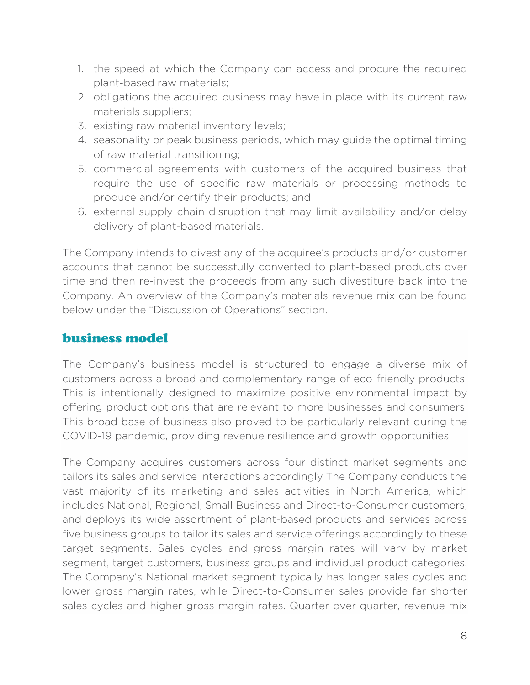- 1. the speed at which the Company can access and procure the required plant-based raw materials;
- 2. obligations the acquired business may have in place with its current raw materials suppliers;
- 3. existing raw material inventory levels;
- 4. seasonality or peak business periods, which may guide the optimal timing of raw material transitioning;
- 5. commercial agreements with customers of the acquired business that require the use of specific raw materials or processing methods to produce and/or certify their products; and
- 6. external supply chain disruption that may limit availability and/or delay delivery of plant-based materials.

The Company intends to divest any of the acquiree's products and/or customer accounts that cannot be successfully converted to plant-based products over time and then re-invest the proceeds from any such divestiture back into the Company. An overview of the Company's materials revenue mix can be found below under the "Discussion of Operations" section.

#### business model

The Company's business model is structured to engage a diverse mix of customers across a broad and complementary range of eco-friendly products. This is intentionally designed to maximize positive environmental impact by offering product options that are relevant to more businesses and consumers. This broad base of business also proved to be particularly relevant during the COVID-19 pandemic, providing revenue resilience and growth opportunities.

The Company acquires customers across four distinct market segments and tailors its sales and service interactions accordingly The Company conducts the vast majority of its marketing and sales activities in North America, which includes National, Regional, Small Business and Direct-to-Consumer customers, and deploys its wide assortment of plant-based products and services across five business groups to tailor its sales and service offerings accordingly to these target segments. Sales cycles and gross margin rates will vary by market segment, target customers, business groups and individual product categories. The Company's National market segment typically has longer sales cycles and lower gross margin rates, while Direct-to-Consumer sales provide far shorter sales cycles and higher gross margin rates. Quarter over quarter, revenue mix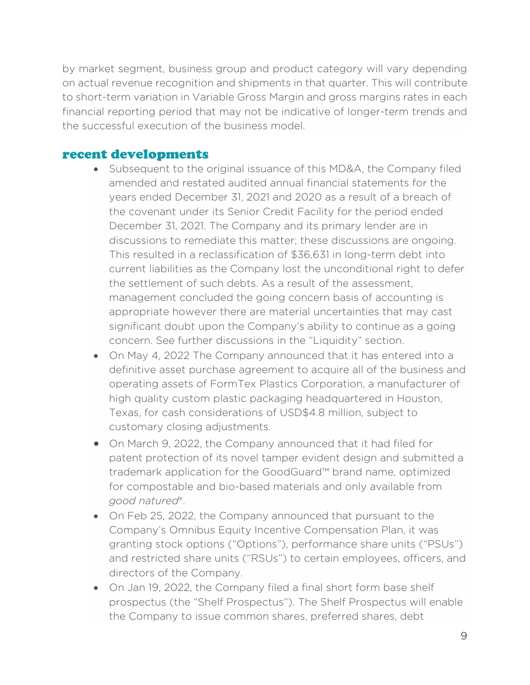by market segment, business group and product category will vary depending on actual revenue recognition and shipments in that quarter. This will contribute to short-term variation in Variable Gross Margin and gross margins rates in each financial reporting period that may not be indicative of longer-term trends and the successful execution of the business model.

#### recent developments

- Subsequent to the original issuance of this MD&A, the Company filed amended and restated audited annual financial statements for the years ended December 31, 2021 and 2020 as a result of a breach of the covenant under its Senior Credit Facility for the period ended December 31, 2021. The Company and its primary lender are in discussions to remediate this matter; these discussions are ongoing. This resulted in a reclassification of \$36,631 in long-term debt into current liabilities as the Company lost the unconditional right to defer the settlement of such debts. As a result of the assessment, management concluded the going concern basis of accounting is appropriate however there are material uncertainties that may cast significant doubt upon the Company's ability to continue as a going concern. See further discussions in the "Liquidity" section.
- On May 4, 2022 The Company announced that it has entered into a definitive asset purchase agreement to acquire all of the business and operating assets of FormTex Plastics Corporation, a manufacturer of high quality custom plastic packaging headquartered in Houston, Texas, for cash considerations of USD\$4.8 million, subject to customary closing adjustments.
- On March 9, 2022, the Company announced that it had filed for patent protection of its novel tamper evident design and submitted a trademark application for the GoodGuard™ brand name, optimized for compostable and bio-based materials and only available from *good natured*®.
- On Feb 25, 2022, the Company announced that pursuant to the Company's Omnibus Equity Incentive Compensation Plan, it was granting stock options ("Options"), performance share units ("PSUs") and restricted share units ("RSUs") to certain employees, officers, and directors of the Company.
- On Jan 19, 2022, the Company filed a final short form base shelf prospectus (the "Shelf Prospectus"). The Shelf Prospectus will enable the Company to issue common shares, preferred shares, debt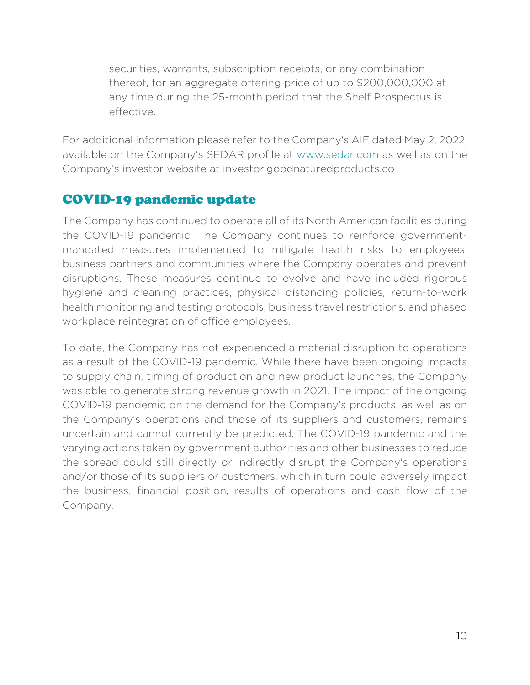securities, warrants, subscription receipts, or any combination thereof, for an aggregate offering price of up to \$200,000,000 at any time during the 25-month period that the Shelf Prospectus is effective.

For additional information please refer to the Company's AIF dated May 2, 2022, available on the Company's SEDAR profile at www.sedar.com as well as on the Company's investor website at investor.goodnaturedproducts.co

# COVID-19 pandemic update

The Company has continued to operate all of its North American facilities during the COVID-19 pandemic. The Company continues to reinforce governmentmandated measures implemented to mitigate health risks to employees, business partners and communities where the Company operates and prevent disruptions. These measures continue to evolve and have included rigorous hygiene and cleaning practices, physical distancing policies, return-to-work health monitoring and testing protocols, business travel restrictions, and phased workplace reintegration of office employees.

To date, the Company has not experienced a material disruption to operations as a result of the COVID-19 pandemic. While there have been ongoing impacts to supply chain, timing of production and new product launches, the Company was able to generate strong revenue growth in 2021. The impact of the ongoing COVID-19 pandemic on the demand for the Company's products, as well as on the Company's operations and those of its suppliers and customers, remains uncertain and cannot currently be predicted. The COVID-19 pandemic and the varying actions taken by government authorities and other businesses to reduce the spread could still directly or indirectly disrupt the Company's operations and/or those of its suppliers or customers, which in turn could adversely impact the business, financial position, results of operations and cash flow of the Company.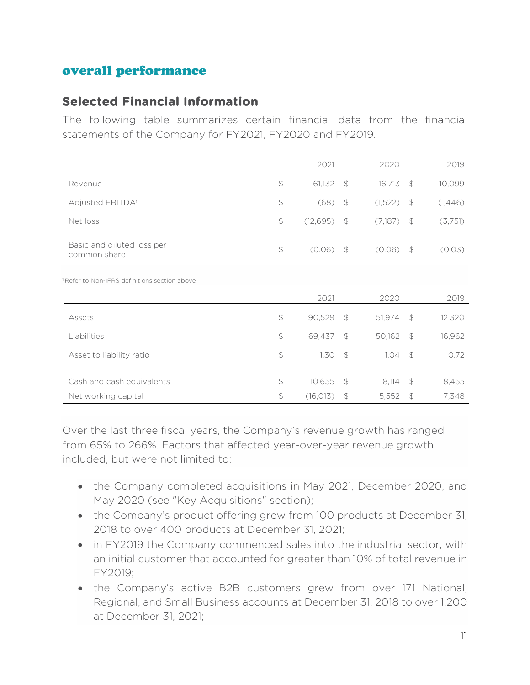## overall performance

#### **Selected Financial Information**

The following table summarizes certain financial data from the financial statements of the Company for FY2021, FY2020 and FY2019.

|                                                          |                | 2021      |                | 2020    |                | 2019    |
|----------------------------------------------------------|----------------|-----------|----------------|---------|----------------|---------|
| Revenue                                                  | $\frac{1}{2}$  | 61,132    | $\mathfrak{S}$ | 16,713  | $\sqrt{2}$     | 10,099  |
| Adjusted EBITDA <sup>1</sup>                             | $\updownarrow$ | (68)      | $\frac{1}{2}$  | (1,522) | $\mathfrak{S}$ | (1,446) |
| Net loss                                                 | $\updownarrow$ | (12, 695) | $\frac{1}{2}$  | (7,187) | $\frac{1}{2}$  | (3,751) |
| Basic and diluted loss per<br>common share               | $\frac{1}{2}$  | (0.06)    | $\sqrt{2}$     | (0.06)  | $\mathfrak{S}$ | (0.03)  |
| <sup>1</sup> Refer to Non-IFRS definitions section above |                | 2021      |                | 2020    |                | 2019    |
| Assets                                                   | $\frac{1}{2}$  | 90,529    | $\mathfrak{P}$ | 51,974  | $\mathfrak{S}$ | 12,320  |
| Liabilities                                              | $\updownarrow$ | 69,437    | $\mathcal{P}$  | 50,162  | $\mathfrak{S}$ | 16,962  |
| Asset to liability ratio                                 | $\updownarrow$ | 1.30      | $\mathcal{L}$  | 1.04    | $\sqrt{5}$     | 0.72    |
| Cash and cash equivalents                                | $\updownarrow$ | 10,655    | $\frac{1}{2}$  | 8,114   | $\frac{1}{2}$  | 8,455   |
| Net working capital                                      | $\frac{1}{2}$  | (16, 013) | $\updownarrow$ | 5,552   | $\mathcal{L}$  | 7,348   |
|                                                          |                |           |                |         |                |         |

Over the last three fiscal years, the Company's revenue growth has ranged from 65% to 266%. Factors that affected year-over-year revenue growth included, but were not limited to:

- the Company completed acquisitions in May 2021, December 2020, and May 2020 (see "Key Acquisitions" section);
- the Company's product offering grew from 100 products at December 31, 2018 to over 400 products at December 31, 2021;
- in FY2019 the Company commenced sales into the industrial sector, with an initial customer that accounted for greater than 10% of total revenue in FY2019;
- the Company's active B2B customers grew from over 171 National, Regional, and Small Business accounts at December 31, 2018 to over 1,200 at December 31, 2021;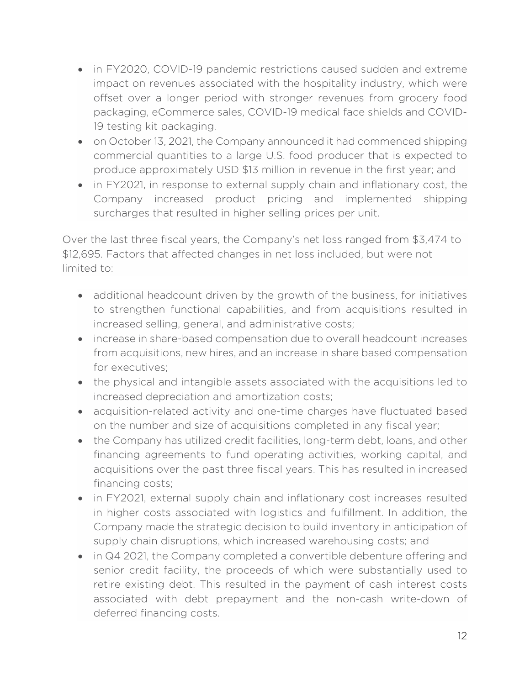- in FY2020, COVID-19 pandemic restrictions caused sudden and extreme impact on revenues associated with the hospitality industry, which were offset over a longer period with stronger revenues from grocery food packaging, eCommerce sales, COVID-19 medical face shields and COVID-19 testing kit packaging.
- on October 13, 2021, the Company announced it had commenced shipping commercial quantities to a large U.S. food producer that is expected to produce approximately USD \$13 million in revenue in the first year; and
- in FY2021, in response to external supply chain and inflationary cost, the Company increased product pricing and implemented shipping surcharges that resulted in higher selling prices per unit.

Over the last three fiscal years, the Company's net loss ranged from \$3,474 to \$12,695. Factors that affected changes in net loss included, but were not limited to:

- additional headcount driven by the growth of the business, for initiatives to strengthen functional capabilities, and from acquisitions resulted in increased selling, general, and administrative costs;
- increase in share-based compensation due to overall headcount increases from acquisitions, new hires, and an increase in share based compensation for executives;
- the physical and intangible assets associated with the acquisitions led to increased depreciation and amortization costs;
- acquisition-related activity and one-time charges have fluctuated based on the number and size of acquisitions completed in any fiscal year;
- the Company has utilized credit facilities, long-term debt, loans, and other financing agreements to fund operating activities, working capital, and acquisitions over the past three fiscal years. This has resulted in increased financing costs;
- in FY2021, external supply chain and inflationary cost increases resulted in higher costs associated with logistics and fulfillment. In addition, the Company made the strategic decision to build inventory in anticipation of supply chain disruptions, which increased warehousing costs; and
- in Q4 2021, the Company completed a convertible debenture offering and senior credit facility, the proceeds of which were substantially used to retire existing debt. This resulted in the payment of cash interest costs associated with debt prepayment and the non-cash write-down of deferred financing costs.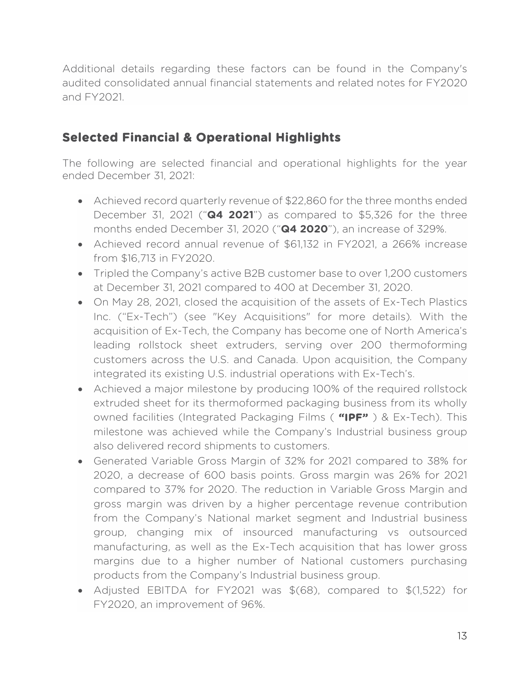Additional details regarding these factors can be found in the Company's audited consolidated annual financial statements and related notes for FY2020 and FY2021.

## **Selected Financial & Operational Highlights**

The following are selected financial and operational highlights for the year ended December 31, 2021:

- Achieved record quarterly revenue of \$22,860 for the three months ended December 31, 2021 ("**Q4 2021**") as compared to \$5,326 for the three months ended December 31, 2020 ("**Q4 2020**"), an increase of 329%.
- Achieved record annual revenue of \$61,132 in FY2021, a 266% increase from \$16,713 in FY2020.
- Tripled the Company's active B2B customer base to over 1,200 customers at December 31, 2021 compared to 400 at December 31, 2020.
- On May 28, 2021, closed the acquisition of the assets of Ex-Tech Plastics Inc. ("Ex-Tech") (see "Key Acquisitions" for more details)*.* With the acquisition of Ex-Tech, the Company has become one of North America's leading rollstock sheet extruders, serving over 200 thermoforming customers across the U.S. and Canada. Upon acquisition, the Company integrated its existing U.S. industrial operations with Ex-Tech's.
- Achieved a major milestone by producing 100% of the required rollstock extruded sheet for its thermoformed packaging business from its wholly owned facilities (Integrated Packaging Films ( **"IPF"** ) & Ex-Tech). This milestone was achieved while the Company's Industrial business group also delivered record shipments to customers.
- Generated Variable Gross Margin of 32% for 2021 compared to 38% for 2020, a decrease of 600 basis points. Gross margin was 26% for 2021 compared to 37% for 2020. The reduction in Variable Gross Margin and gross margin was driven by a higher percentage revenue contribution from the Company's National market segment and Industrial business group, changing mix of insourced manufacturing vs outsourced manufacturing, as well as the Ex-Tech acquisition that has lower gross margins due to a higher number of National customers purchasing products from the Company's Industrial business group.
- Adjusted EBITDA for FY2021 was \$(68), compared to \$(1,522) for FY2020, an improvement of 96%.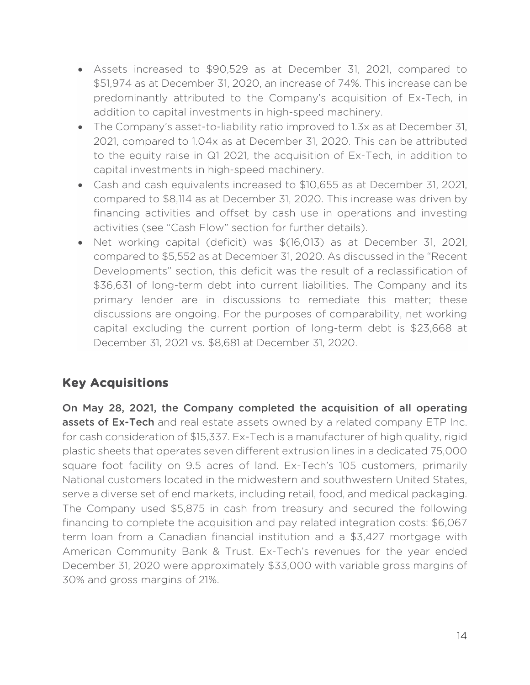- Assets increased to \$90,529 as at December 31, 2021, compared to \$51,974 as at December 31, 2020, an increase of 74%. This increase can be predominantly attributed to the Company's acquisition of Ex-Tech, in addition to capital investments in high-speed machinery.
- The Company's asset-to-liability ratio improved to 1.3x as at December 31, 2021, compared to 1.04x as at December 31, 2020. This can be attributed to the equity raise in Q1 2021, the acquisition of Ex-Tech, in addition to capital investments in high-speed machinery.
- Cash and cash equivalents increased to \$10,655 as at December 31, 2021, compared to \$8,114 as at December 31, 2020. This increase was driven by financing activities and offset by cash use in operations and investing activities (see "Cash Flow" section for further details).
- Net working capital (deficit) was \$(16,013) as at December 31, 2021, compared to \$5,552 as at December 31, 2020. As discussed in the "Recent Developments" section, this deficit was the result of a reclassification of \$36,631 of long-term debt into current liabilities. The Company and its primary lender are in discussions to remediate this matter; these discussions are ongoing. For the purposes of comparability, net working capital excluding the current portion of long-term debt is \$23,668 at December 31, 2021 vs. \$8,681 at December 31, 2020.

# **Key Acquisitions**

On May 28, 2021, the Company completed the acquisition of all operating assets of Ex-Tech and real estate assets owned by a related company ETP Inc. for cash consideration of \$15,337. Ex-Tech is a manufacturer of high quality, rigid plastic sheets that operates seven different extrusion lines in a dedicated 75,000 square foot facility on 9.5 acres of land. Ex-Tech's 105 customers, primarily National customers located in the midwestern and southwestern United States, serve a diverse set of end markets, including retail, food, and medical packaging. The Company used \$5,875 in cash from treasury and secured the following financing to complete the acquisition and pay related integration costs: \$6,067 term loan from a Canadian financial institution and a \$3,427 mortgage with American Community Bank & Trust. Ex-Tech's revenues for the year ended December 31, 2020 were approximately \$33,000 with variable gross margins of 30% and gross margins of 21%.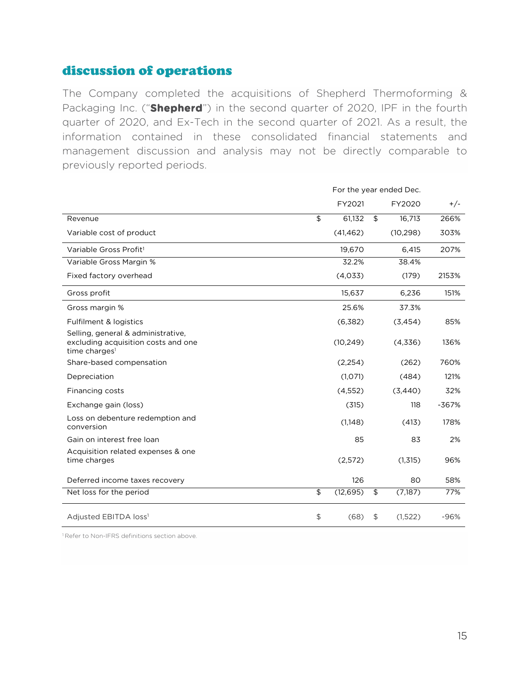#### discussion of operations

The Company completed the acquisitions of Shepherd Thermoforming & Packaging Inc. ("**Shepherd**") in the second quarter of 2020, IPF in the fourth quarter of 2020, and Ex-Tech in the second quarter of 2021. As a result, the information contained in these consolidated financial statements and management discussion and analysis may not be directly comparable to previously reported periods.

|                                                                                                        |                                               |           |                                | For the year ended Dec. |         |
|--------------------------------------------------------------------------------------------------------|-----------------------------------------------|-----------|--------------------------------|-------------------------|---------|
|                                                                                                        |                                               | FY2021    |                                | FY2020                  | $+/-$   |
| Revenue                                                                                                | \$                                            | 61,132    | \$                             | 16,713                  | 266%    |
| Variable cost of product                                                                               |                                               | (41, 462) |                                | (10, 298)               | 303%    |
| Variable Gross Profit <sup>1</sup>                                                                     |                                               | 19,670    |                                | 6,415                   | 207%    |
| Variable Gross Margin %                                                                                |                                               | 32.2%     |                                | 38.4%                   |         |
| Fixed factory overhead                                                                                 |                                               | (4.033)   |                                | (179)                   | 2153%   |
| Gross profit                                                                                           |                                               | 15,637    |                                | 6,236                   | 151%    |
| Gross margin %                                                                                         |                                               | 25.6%     |                                | 37.3%                   |         |
| Fulfilment & logistics                                                                                 |                                               | (6, 382)  |                                | (3, 454)                | 85%     |
| Selling, general & administrative,<br>excluding acquisition costs and one<br>time charges <sup>1</sup> |                                               | (10, 249) |                                | (4,336)                 | 136%    |
| Share-based compensation                                                                               |                                               | (2,254)   |                                | (262)                   | 760%    |
| Depreciation                                                                                           |                                               | (1,071)   |                                | (484)                   | 121%    |
| Financing costs                                                                                        |                                               | (4,552)   |                                | (3,440)                 | 32%     |
| Exchange gain (loss)                                                                                   |                                               | (315)     |                                | 118                     | $-367%$ |
| Loss on debenture redemption and<br>conversion                                                         |                                               | (1,148)   |                                | (413)                   | 178%    |
| Gain on interest free loan                                                                             |                                               | 85        |                                | 83                      | 2%      |
| Acquisition related expenses & one<br>time charges                                                     |                                               | (2,572)   |                                | (1,315)                 | 96%     |
| Deferred income taxes recovery                                                                         |                                               | 126       |                                | 80                      | 58%     |
| Net loss for the period                                                                                | \$                                            | (12, 695) | \$                             | (7,187)                 | 77%     |
| Adjusted EBITDA loss <sup>1</sup>                                                                      | $\, \, \raisebox{12pt}{$\scriptstyle \circ$}$ | (68)      | $\textcircled{\scriptsize{3}}$ | (1,522)                 | $-96%$  |

<sup>1</sup> Refer to Non-IFRS definitions section above.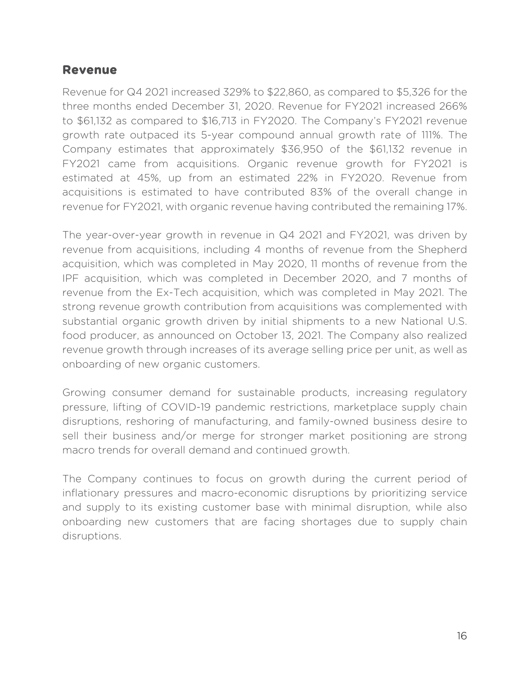#### **Revenue**

Revenue for Q4 2021 increased 329% to \$22,860, as compared to \$5,326 for the three months ended December 31, 2020. Revenue for FY2021 increased 266% to \$61,132 as compared to \$16,713 in FY2020. The Company's FY2021 revenue growth rate outpaced its 5-year compound annual growth rate of 111%. The Company estimates that approximately \$36,950 of the \$61,132 revenue in FY2021 came from acquisitions. Organic revenue growth for FY2021 is estimated at 45%, up from an estimated 22% in FY2020. Revenue from acquisitions is estimated to have contributed 83% of the overall change in revenue for FY2021, with organic revenue having contributed the remaining 17%.

The year-over-year growth in revenue in Q4 2021 and FY2021, was driven by revenue from acquisitions, including 4 months of revenue from the Shepherd acquisition, which was completed in May 2020, 11 months of revenue from the IPF acquisition, which was completed in December 2020, and 7 months of revenue from the Ex-Tech acquisition, which was completed in May 2021. The strong revenue growth contribution from acquisitions was complemented with substantial organic growth driven by initial shipments to a new National U.S. food producer, as announced on October 13, 2021. The Company also realized revenue growth through increases of its average selling price per unit, as well as onboarding of new organic customers.

Growing consumer demand for sustainable products, increasing regulatory pressure, lifting of COVID-19 pandemic restrictions, marketplace supply chain disruptions, reshoring of manufacturing, and family-owned business desire to sell their business and/or merge for stronger market positioning are strong macro trends for overall demand and continued growth.

The Company continues to focus on growth during the current period of inflationary pressures and macro-economic disruptions by prioritizing service and supply to its existing customer base with minimal disruption, while also onboarding new customers that are facing shortages due to supply chain disruptions.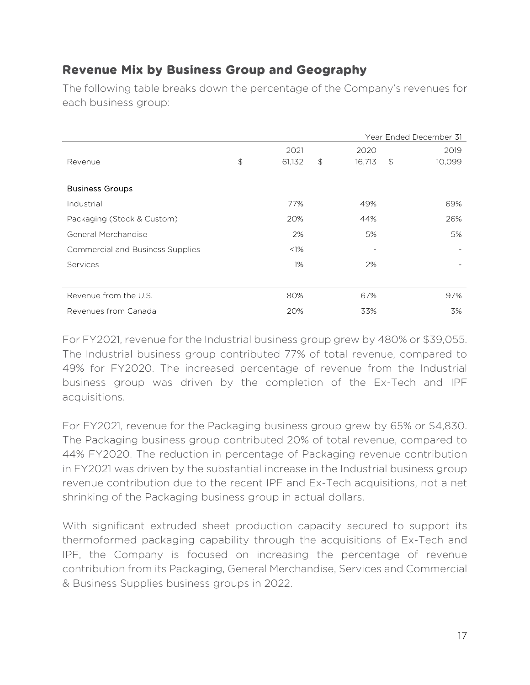## **Revenue Mix by Business Group and Geography**

The following table breaks down the percentage of the Company's revenues for each business group:

|                                         |               |         |               |        |               | Year Ended December 31 |
|-----------------------------------------|---------------|---------|---------------|--------|---------------|------------------------|
|                                         |               | 2021    |               | 2020   |               | 2019                   |
| Revenue                                 | $\frac{1}{2}$ | 61,132  | $\frac{1}{2}$ | 16,713 | $\frac{1}{2}$ | 10,099                 |
|                                         |               |         |               |        |               |                        |
| <b>Business Groups</b>                  |               |         |               |        |               |                        |
| Industrial                              |               | 77%     |               | 49%    |               | 69%                    |
| Packaging (Stock & Custom)              |               | 20%     |               | 44%    |               | 26%                    |
| General Merchandise                     |               | 2%      |               | 5%     |               | 5%                     |
| <b>Commercial and Business Supplies</b> |               | $< 1\%$ |               |        |               |                        |
| Services                                |               | $1\%$   |               | 2%     |               |                        |
|                                         |               |         |               |        |               |                        |
| Revenue from the U.S.                   |               | 80%     |               | 67%    |               | 97%                    |
| Revenues from Canada                    |               | 20%     |               | 33%    |               | 3%                     |

For FY2021, revenue for the Industrial business group grew by 480% or \$39,055. The Industrial business group contributed 77% of total revenue, compared to 49% for FY2020. The increased percentage of revenue from the Industrial business group was driven by the completion of the Ex-Tech and IPF acquisitions.

For FY2021, revenue for the Packaging business group grew by 65% or \$4,830. The Packaging business group contributed 20% of total revenue, compared to 44% FY2020. The reduction in percentage of Packaging revenue contribution in FY2021 was driven by the substantial increase in the Industrial business group revenue contribution due to the recent IPF and Ex-Tech acquisitions, not a net shrinking of the Packaging business group in actual dollars.

With significant extruded sheet production capacity secured to support its thermoformed packaging capability through the acquisitions of Ex-Tech and IPF, the Company is focused on increasing the percentage of revenue contribution from its Packaging, General Merchandise, Services and Commercial & Business Supplies business groups in 2022.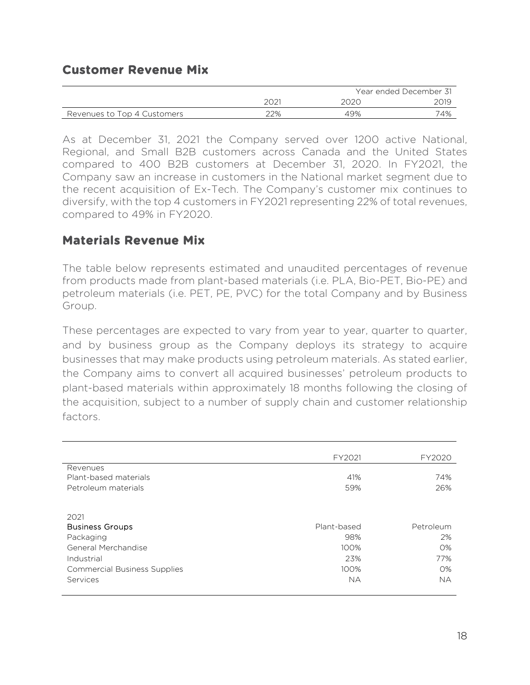#### **Customer Revenue Mix**

|                             |      |      | Year ended December 31 |
|-----------------------------|------|------|------------------------|
|                             | 2021 | 2020 | 2019                   |
| Revenues to Top 4 Customers | 22%  | 49%  | 74%                    |

As at December 31, 2021 the Company served over 1200 active National, Regional, and Small B2B customers across Canada and the United States compared to 400 B2B customers at December 31, 2020. In FY2021, the Company saw an increase in customers in the National market segment due to the recent acquisition of Ex-Tech. The Company's customer mix continues to diversify, with the top 4 customers in FY2021 representing 22% of total revenues, compared to 49% in FY2020.

#### **Materials Revenue Mix**

The table below represents estimated and unaudited percentages of revenue from products made from plant-based materials (i.e. PLA, Bio-PET, Bio-PE) and petroleum materials (i.e. PET, PE, PVC) for the total Company and by Business Group.

These percentages are expected to vary from year to year, quarter to quarter, and by business group as the Company deploys its strategy to acquire businesses that may make products using petroleum materials. As stated earlier, the Company aims to convert all acquired businesses' petroleum products to plant-based materials within approximately 18 months following the closing of the acquisition, subject to a number of supply chain and customer relationship factors.

|                                     | FY2021      | FY2020    |
|-------------------------------------|-------------|-----------|
| Revenues                            |             |           |
| Plant-based materials               | 41%         | 74%       |
| Petroleum materials                 | 59%         | 26%       |
|                                     |             |           |
| 2021                                |             |           |
| <b>Business Groups</b>              | Plant-based | Petroleum |
| Packaging                           | 98%         | 2%        |
| General Merchandise                 | 100%        | O%        |
| Industrial                          | 23%         | 77%       |
| <b>Commercial Business Supplies</b> | 100%        | $O\%$     |
| Services                            | <b>NA</b>   | <b>NA</b> |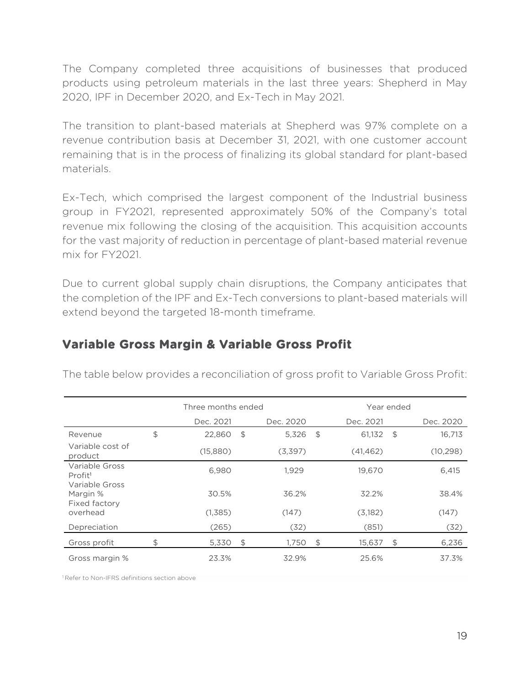The Company completed three acquisitions of businesses that produced products using petroleum materials in the last three years: Shepherd in May 2020, IPF in December 2020, and Ex-Tech in May 2021.

The transition to plant-based materials at Shepherd was 97% complete on a revenue contribution basis at December 31, 2021, with one customer account remaining that is in the process of finalizing its global standard for plant-based materials.

Ex-Tech, which comprised the largest component of the Industrial business group in FY2021, represented approximately 50% of the Company's total revenue mix following the closing of the acquisition. This acquisition accounts for the vast majority of reduction in percentage of plant-based material revenue mix for FY2021.

Due to current global supply chain disruptions, the Company anticipates that the completion of the IPF and Ex-Tech conversions to plant-based materials will extend beyond the targeted 18-month timeframe.

### **Variable Gross Margin & Variable Gross Profit**

|  |  | The table below provides a reconciliation of gross profit to Variable Gross Profit: |  |  |
|--|--|-------------------------------------------------------------------------------------|--|--|
|  |  |                                                                                     |  |  |
|  |  |                                                                                     |  |  |

|                                                         | Three months ended |             |                | Year ended |    |           |
|---------------------------------------------------------|--------------------|-------------|----------------|------------|----|-----------|
|                                                         | Dec. 2021          | Dec. 2020   |                | Dec. 2021  |    | Dec. 2020 |
| Revenue                                                 | \$<br>22,860       | \$<br>5,326 | $\mathfrak{L}$ | 61.132     | \$ | 16.713    |
| Variable cost of<br>product                             | (15,880)           | (3,397)     |                | (41, 462)  |    | (10, 298) |
| Variable Gross<br>Profit <sup>1</sup><br>Variable Gross | 6.980              | 1,929       |                | 19,670     |    | 6,415     |
| Margin %<br>Fixed factory                               | 30.5%              | 36.2%       |                | 32.2%      |    | 38.4%     |
| overhead                                                | (1,385)            | (147)       |                | (3,182)    |    | (147)     |
| Depreciation                                            | (265)              | (32)        |                | (851)      |    | (32)      |
| Gross profit                                            | 5,330              | \$<br>1,750 | S              | 15,637     | S  | 6,236     |
| Gross margin %                                          | 23.3%              | 32.9%       |                | 25.6%      |    | 37.3%     |

1 Refer to Non-IFRS definitions section above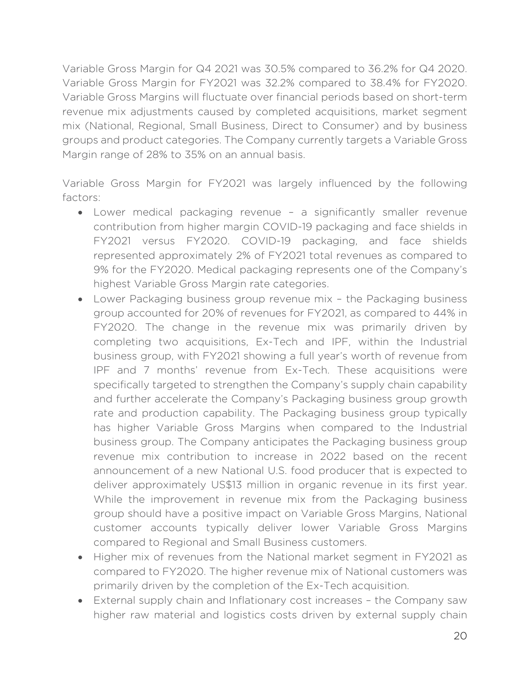Variable Gross Margin for Q4 2021 was 30.5% compared to 36.2% for Q4 2020. Variable Gross Margin for FY2021 was 32.2% compared to 38.4% for FY2020. Variable Gross Margins will fluctuate over financial periods based on short-term revenue mix adjustments caused by completed acquisitions, market segment mix (National, Regional, Small Business, Direct to Consumer) and by business groups and product categories. The Company currently targets a Variable Gross Margin range of 28% to 35% on an annual basis.

Variable Gross Margin for FY2021 was largely influenced by the following factors:

- Lower medical packaging revenue a significantly smaller revenue contribution from higher margin COVID-19 packaging and face shields in FY2021 versus FY2020. COVID-19 packaging, and face shields represented approximately 2% of FY2021 total revenues as compared to 9% for the FY2020. Medical packaging represents one of the Company's highest Variable Gross Margin rate categories.
- Lower Packaging business group revenue mix the Packaging business group accounted for 20% of revenues for FY2021, as compared to 44% in FY2020. The change in the revenue mix was primarily driven by completing two acquisitions, Ex-Tech and IPF, within the Industrial business group, with FY2021 showing a full year's worth of revenue from IPF and 7 months' revenue from Ex-Tech. These acquisitions were specifically targeted to strengthen the Company's supply chain capability and further accelerate the Company's Packaging business group growth rate and production capability. The Packaging business group typically has higher Variable Gross Margins when compared to the Industrial business group. The Company anticipates the Packaging business group revenue mix contribution to increase in 2022 based on the recent announcement of a new National U.S. food producer that is expected to deliver approximately US\$13 million in organic revenue in its first year. While the improvement in revenue mix from the Packaging business group should have a positive impact on Variable Gross Margins, National customer accounts typically deliver lower Variable Gross Margins compared to Regional and Small Business customers.
- Higher mix of revenues from the National market segment in FY2021 as compared to FY2020. The higher revenue mix of National customers was primarily driven by the completion of the Ex-Tech acquisition.
- External supply chain and Inflationary cost increases the Company saw higher raw material and logistics costs driven by external supply chain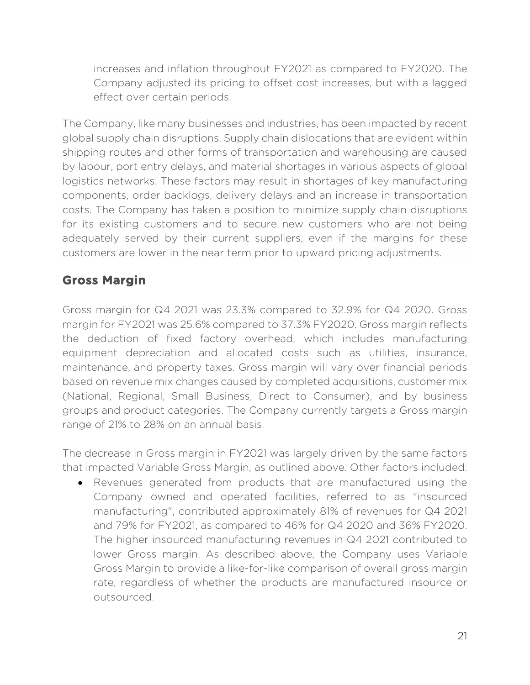increases and inflation throughout FY2021 as compared to FY2020. The Company adjusted its pricing to offset cost increases, but with a lagged effect over certain periods.

The Company, like many businesses and industries, has been impacted by recent global supply chain disruptions. Supply chain dislocations that are evident within shipping routes and other forms of transportation and warehousing are caused by labour, port entry delays, and material shortages in various aspects of global logistics networks. These factors may result in shortages of key manufacturing components, order backlogs, delivery delays and an increase in transportation costs. The Company has taken a position to minimize supply chain disruptions for its existing customers and to secure new customers who are not being adequately served by their current suppliers, even if the margins for these customers are lower in the near term prior to upward pricing adjustments.

## **Gross Margin**

Gross margin for Q4 2021 was 23.3% compared to 32.9% for Q4 2020. Gross margin for FY2021 was 25.6% compared to 37.3% FY2020. Gross margin reflects the deduction of fixed factory overhead, which includes manufacturing equipment depreciation and allocated costs such as utilities, insurance, maintenance, and property taxes. Gross margin will vary over financial periods based on revenue mix changes caused by completed acquisitions, customer mix (National, Regional, Small Business, Direct to Consumer), and by business groups and product categories. The Company currently targets a Gross margin range of 21% to 28% on an annual basis.

The decrease in Gross margin in FY2021 was largely driven by the same factors that impacted Variable Gross Margin, as outlined above. Other factors included:

 Revenues generated from products that are manufactured using the Company owned and operated facilities, referred to as "insourced manufacturing", contributed approximately 81% of revenues for Q4 2021 and 79% for FY2021, as compared to 46% for Q4 2020 and 36% FY2020. The higher insourced manufacturing revenues in Q4 2021 contributed to lower Gross margin. As described above, the Company uses Variable Gross Margin to provide a like-for-like comparison of overall gross margin rate, regardless of whether the products are manufactured insource or outsourced.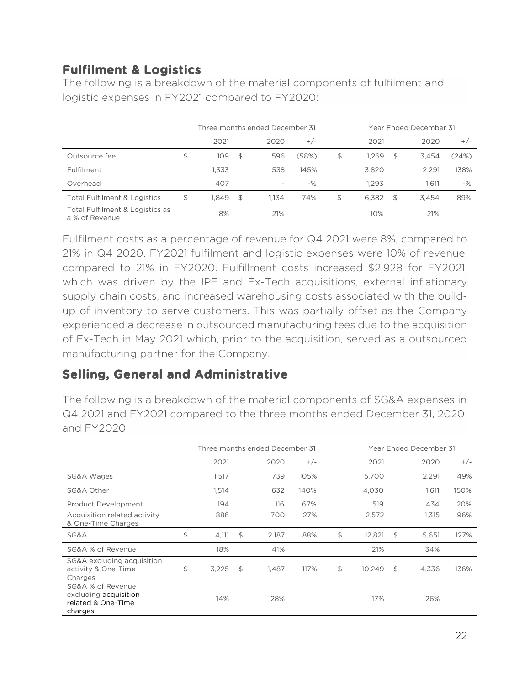## **Fulfilment & Logistics**

The following is a breakdown of the material components of fulfilment and logistic expenses in FY2021 compared to FY2020:

|                                                   |             |                | Three months ended December 31 |       |             |     | Year Ended December 31 |       |
|---------------------------------------------------|-------------|----------------|--------------------------------|-------|-------------|-----|------------------------|-------|
|                                                   | 2021        |                | 2020                           | $+/-$ | 2021        |     | 2020                   | $+/-$ |
| Outsource fee                                     | \$<br>109   | - \$           | 596                            | (58%) | \$<br>1,269 | \$  | 3.454                  | (24%) |
| <b>Fulfilment</b>                                 | 1,333       |                | 538                            | 145%  | 3,820       |     | 2.291                  | 138%  |
| Overhead                                          | 407         |                | $\overline{\phantom{0}}$       | $-$ % | 1.293       |     | 1.611                  | $-$ % |
| <b>Total Fulfilment &amp; Logistics</b>           | \$<br>1.849 | $\mathfrak{L}$ | 1.134                          | 74%   | \$<br>6.382 | -\$ | 3.454                  | 89%   |
| Total Fulfilment & Logistics as<br>a % of Revenue | 8%          |                | 21%                            |       | 10%         |     | 21%                    |       |

Fulfilment costs as a percentage of revenue for Q4 2021 were 8%, compared to 21% in Q4 2020. FY2021 fulfilment and logistic expenses were 10% of revenue, compared to 21% in FY2020. Fulfillment costs increased \$2,928 for FY2021, which was driven by the IPF and Ex-Tech acquisitions, external inflationary supply chain costs, and increased warehousing costs associated with the buildup of inventory to serve customers. This was partially offset as the Company experienced a decrease in outsourced manufacturing fees due to the acquisition of Ex-Tech in May 2021 which, prior to the acquisition, served as a outsourced manufacturing partner for the Company.

## **Selling, General and Administrative**

The following is a breakdown of the material components of SG&A expenses in Q4 2021 and FY2021 compared to the three months ended December 31, 2020 and FY2020:

|                                                                             |             |                | Three months ended December 31 |       |              |                | Year Ended December 31 |       |
|-----------------------------------------------------------------------------|-------------|----------------|--------------------------------|-------|--------------|----------------|------------------------|-------|
|                                                                             | 2021        |                | 2020                           | $+/-$ | 2021         |                | 2020                   | $+/-$ |
| SG&A Wages                                                                  | 1,517       |                | 739                            | 105%  | 5,700        |                | 2,291                  | 149%  |
| SG&A Other                                                                  | 1,514       |                | 632                            | 140%  | 4,030        |                | 1,611                  | 150%  |
| Product Development                                                         | 194         |                | 116                            | 67%   | 519          |                | 434                    | 20%   |
| Acquisition related activity<br>& One-Time Charges                          | 886         |                | 700                            | 27%   | 2,572        |                | 1,315                  | 96%   |
| SG&A                                                                        | \$<br>4,111 | \$             | 2,187                          | 88%   | \$<br>12,821 | \$             | 5,651                  | 127%  |
| SG&A % of Revenue                                                           | 18%         |                | 41%                            |       | 21%          |                | 34%                    |       |
| SG&A excluding acquisition<br>activity & One-Time<br>Charges                | \$<br>3,225 | $\mathfrak{P}$ | 1,487                          | 117%  | \$<br>10,249 | $\mathfrak{L}$ | 4,336                  | 136%  |
| SG&A % of Revenue<br>excluding acquisition<br>related & One-Time<br>charges | 14%         |                | 28%                            |       | 17%          |                | 26%                    |       |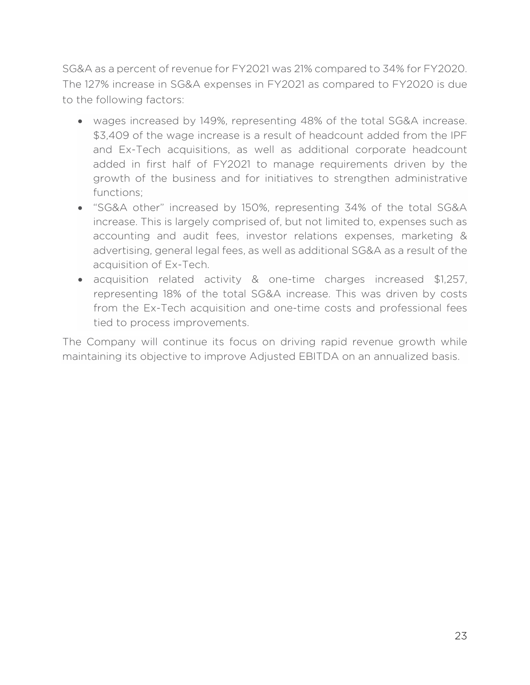SG&A as a percent of revenue for FY2021 was 21% compared to 34% for FY2020. The 127% increase in SG&A expenses in FY2021 as compared to FY2020 is due to the following factors:

- wages increased by 149%, representing 48% of the total SG&A increase. \$3,409 of the wage increase is a result of headcount added from the IPF and Ex-Tech acquisitions, as well as additional corporate headcount added in first half of FY2021 to manage requirements driven by the growth of the business and for initiatives to strengthen administrative functions;
- "SG&A other" increased by 150%, representing 34% of the total SG&A increase. This is largely comprised of, but not limited to, expenses such as accounting and audit fees, investor relations expenses, marketing & advertising, general legal fees, as well as additional SG&A as a result of the acquisition of Ex-Tech.
- acquisition related activity & one-time charges increased \$1,257, representing 18% of the total SG&A increase. This was driven by costs from the Ex-Tech acquisition and one-time costs and professional fees tied to process improvements.

The Company will continue its focus on driving rapid revenue growth while maintaining its objective to improve Adjusted EBITDA on an annualized basis.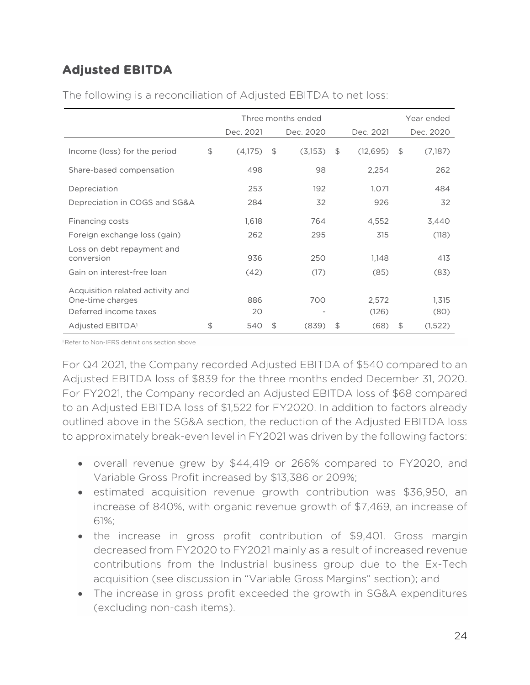# **Adjusted EBITDA**

|                                                                               |               | Three months ended |                |                | Year ended    |
|-------------------------------------------------------------------------------|---------------|--------------------|----------------|----------------|---------------|
|                                                                               | Dec. 2021     | Dec. 2020          | Dec. 2021      |                | Dec. 2020     |
| Income (loss) for the period                                                  | \$<br>(4,175) | \$<br>(3,153)      | \$<br>(12,695) | -\$            | (7,187)       |
| Share-based compensation                                                      | 498           | 98                 | 2,254          |                | 262           |
| Depreciation                                                                  | 253           | 192                | 1,071          |                | 484           |
| Depreciation in COGS and SG&A                                                 | 284           | 32                 | 926            |                | 32            |
| Financing costs                                                               | 1,618         | 764                | 4,552          |                | 3,440         |
| Foreign exchange loss (gain)                                                  | 262           | 295                | 315            |                | (118)         |
| Loss on debt repayment and<br>conversion                                      | 936           | 250                | 1,148          |                | 413           |
| Gain on interest-free loan                                                    | (42)          | (17)               | (85)           |                | (83)          |
| Acquisition related activity and<br>One-time charges<br>Deferred income taxes | 886<br>20     | 700                | 2,572<br>(126) |                | 1,315<br>(80) |
| Adjusted EBITDA <sup>1</sup>                                                  | \$<br>540     | \$<br>(839)        | \$<br>(68)     | $\mathfrak{F}$ | (1,522)       |

The following is a reconciliation of Adjusted EBITDA to net loss:

1 Refer to Non-IFRS definitions section above

For Q4 2021, the Company recorded Adjusted EBITDA of \$540 compared to an Adjusted EBITDA loss of \$839 for the three months ended December 31, 2020. For FY2021, the Company recorded an Adjusted EBITDA loss of \$68 compared to an Adjusted EBITDA loss of \$1,522 for FY2020. In addition to factors already outlined above in the SG&A section, the reduction of the Adjusted EBITDA loss to approximately break-even level in FY2021 was driven by the following factors:

- overall revenue grew by \$44,419 or 266% compared to FY2020, and Variable Gross Profit increased by \$13,386 or 209%;
- estimated acquisition revenue growth contribution was \$36,950, an increase of 840%, with organic revenue growth of \$7,469, an increase of 61%;
- the increase in gross profit contribution of \$9,401. Gross margin decreased from FY2020 to FY2021 mainly as a result of increased revenue contributions from the Industrial business group due to the Ex-Tech acquisition (see discussion in "Variable Gross Margins" section); and
- The increase in gross profit exceeded the growth in SG&A expenditures (excluding non-cash items).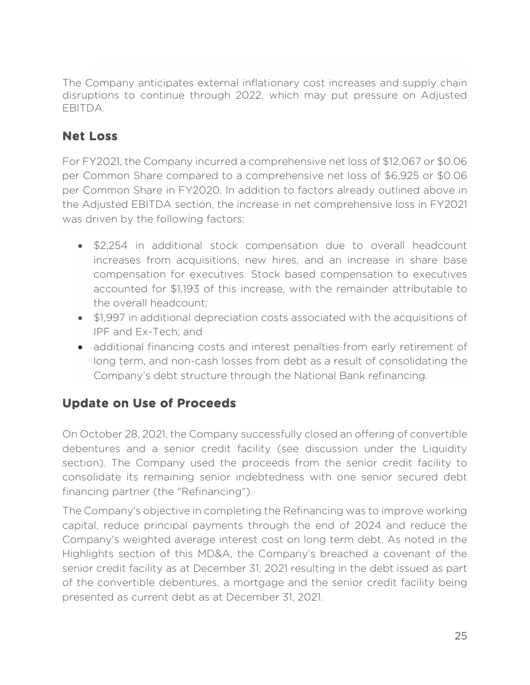The Company anticipates external inflationary cost increases and supply chain disruptions to continue through 2022, which may put pressure on Adjusted EBITDA.

## **Net Loss**

For FY2021, the Company incurred a comprehensive net loss of \$12,067 or \$0.06 per Common Share compared to a comprehensive net loss of \$6,925 or \$0.06 per Common Share in FY2020. In addition to factors already outlined above in the Adjusted EBITDA section, the increase in net comprehensive loss in FY2021 was driven by the following factors:

- \$2,254 in additional stock compensation due to overall headcount increases from acquisitions, new hires, and an increase in share base compensation for executives. Stock based compensation to executives accounted for \$1,193 of this increase, with the remainder attributable to the overall headcount;
- \$1,997 in additional depreciation costs associated with the acquisitions of IPF and Ex-Tech; and
- additional financing costs and interest penalties from early retirement of long term, and non-cash losses from debt as a result of consolidating the Company's debt structure through the National Bank refinancing.

# **Update on Use of Proceeds**

On October 28, 2021, the Company successfully closed an offering of convertible debentures and a senior credit facility (see discussion under the Liquidity section). The Company used the proceeds from the senior credit facility to consolidate its remaining senior indebtedness with one senior secured debt financing partner (the "Refinancing").

The Company's objective in completing the Refinancing was to improve working capital, reduce principal payments through the end of 2024 and reduce the Company's weighted average interest cost on long term debt. As noted in the Highlights section of this MD&A, the Company's breached a covenant of the senior credit facility as at December 31, 2021 resulting in the debt issued as part of the convertible debentures, a mortgage and the senior credit facility being presented as current debt as at December 31, 2021.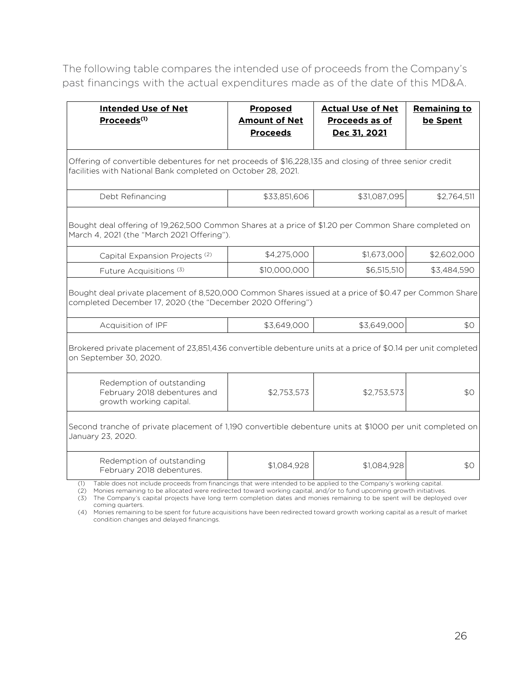The following table compares the intended use of proceeds from the Company's past financings with the actual expenditures made as of the date of this MD&A.

| <b>Intended Use of Net</b><br>Proceeds <sup>(1)</sup>                                                                                                                                                                                                                                                                                                                                                        | <b>Proposed</b><br><b>Amount of Net</b><br><b>Proceeds</b> | <b>Actual Use of Net</b><br>Proceeds as of<br>Dec 31, 2021 | <b>Remaining to</b><br>be Spent |
|--------------------------------------------------------------------------------------------------------------------------------------------------------------------------------------------------------------------------------------------------------------------------------------------------------------------------------------------------------------------------------------------------------------|------------------------------------------------------------|------------------------------------------------------------|---------------------------------|
| Offering of convertible debentures for net proceeds of \$16,228,135 and closing of three senior credit<br>facilities with National Bank completed on October 28, 2021.                                                                                                                                                                                                                                       |                                                            |                                                            |                                 |
| Debt Refinancing                                                                                                                                                                                                                                                                                                                                                                                             | \$33,851,606                                               | \$31,087,095                                               | \$2,764,511                     |
| Bought deal offering of 19,262,500 Common Shares at a price of \$1.20 per Common Share completed on<br>March 4, 2021 (the "March 2021 Offering").                                                                                                                                                                                                                                                            |                                                            |                                                            |                                 |
| Capital Expansion Projects <sup>(2)</sup>                                                                                                                                                                                                                                                                                                                                                                    | \$4,275,000                                                | \$1,673,000                                                | \$2,602,000                     |
| Future Acquisitions <sup>(3)</sup>                                                                                                                                                                                                                                                                                                                                                                           | \$10,000,000                                               | \$6,515,510                                                | \$3,484,590                     |
| Bought deal private placement of 8,520,000 Common Shares issued at a price of \$0.47 per Common Share<br>completed December 17, 2020 (the "December 2020 Offering")                                                                                                                                                                                                                                          |                                                            |                                                            |                                 |
| Acquisition of IPF                                                                                                                                                                                                                                                                                                                                                                                           | \$3,649,000                                                | \$3,649,000                                                | \$0                             |
| Brokered private placement of 23,851,436 convertible debenture units at a price of \$0.14 per unit completed<br>on September 30, 2020.                                                                                                                                                                                                                                                                       |                                                            |                                                            |                                 |
| Redemption of outstanding<br>February 2018 debentures and<br>growth working capital.                                                                                                                                                                                                                                                                                                                         | \$2,753,573                                                | \$2,753,573                                                | \$0                             |
| Second tranche of private placement of 1,190 convertible debenture units at \$1000 per unit completed on<br>January 23, 2020.                                                                                                                                                                                                                                                                                |                                                            |                                                            |                                 |
| Redemption of outstanding<br>February 2018 debentures.                                                                                                                                                                                                                                                                                                                                                       | \$1,084,928                                                | \$1,084,928                                                | \$0                             |
| Table does not include proceeds from financings that were intended to be applied to the Company's working capital.<br>(1)<br>Monies remaining to be allocated were redirected toward working capital, and/or to fund upcoming growth initiatives.<br>(2)<br>The Company's capital projects have long term completion dates and monies remaining to be spent will be deployed over<br>(3)<br>coming quarters. |                                                            |                                                            |                                 |

(4) Monies remaining to be spent for future acquisitions have been redirected toward growth working capital as a result of market condition changes and delayed financings.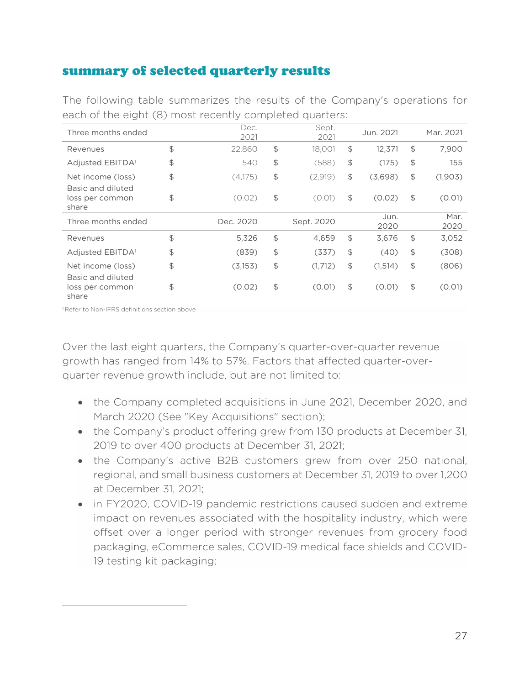### summary of selected quarterly results

| Three months ended                            | Dec.<br>2021  | Sept.<br>2021 |                | Jun. 2021    |                | Mar. 2021    |
|-----------------------------------------------|---------------|---------------|----------------|--------------|----------------|--------------|
| Revenues                                      | \$<br>22,860  | \$<br>18,001  | \$             | 12,371       | \$             | 7,900        |
| Adjusted EBITDA <sup>1</sup>                  | \$<br>540     | \$<br>(588)   | $\mathfrak{L}$ | (175)        | \$             | 155          |
| Net income (loss)                             | \$<br>(4,175) | \$<br>(2,919) | \$             | (3,698)      | $\frac{1}{2}$  | (1,903)      |
| Basic and diluted<br>loss per common<br>share | \$<br>(0.02)  | \$<br>(0.01)  | \$             | (0.02)       | \$             | (0.01)       |
|                                               |               |               |                |              |                |              |
| Three months ended                            | Dec. 2020     | Sept. 2020    |                | Jun.<br>2020 |                | Mar.<br>2020 |
| Revenues                                      | \$<br>5,326   | \$<br>4.659   | \$             | 3,676        | \$             | 3,052        |
| Adjusted EBITDA <sup>1</sup>                  | \$<br>(839)   | \$<br>(337)   | \$             | (40)         | $\mathfrak{P}$ | (308)        |
| Net income (loss)                             | \$<br>(3,153) | \$<br>(1,712) | \$             | (1,514)      | \$             | (806)        |

The following table summarizes the results of the Company's operations for each of the eight (8) most recently completed quarters:

1 Refer to Non-IFRS definitions section above

Over the last eight quarters, the Company's quarter-over-quarter revenue growth has ranged from 14% to 57%. Factors that affected quarter-overquarter revenue growth include, but are not limited to:

- the Company completed acquisitions in June 2021, December 2020, and March 2020 (See "Key Acquisitions" section);
- the Company's product offering grew from 130 products at December 31, 2019 to over 400 products at December 31, 2021;
- the Company's active B2B customers grew from over 250 national, regional, and small business customers at December 31, 2019 to over 1,200 at December 31, 2021;
- in FY2020, COVID-19 pandemic restrictions caused sudden and extreme impact on revenues associated with the hospitality industry, which were offset over a longer period with stronger revenues from grocery food packaging, eCommerce sales, COVID-19 medical face shields and COVID-19 testing kit packaging;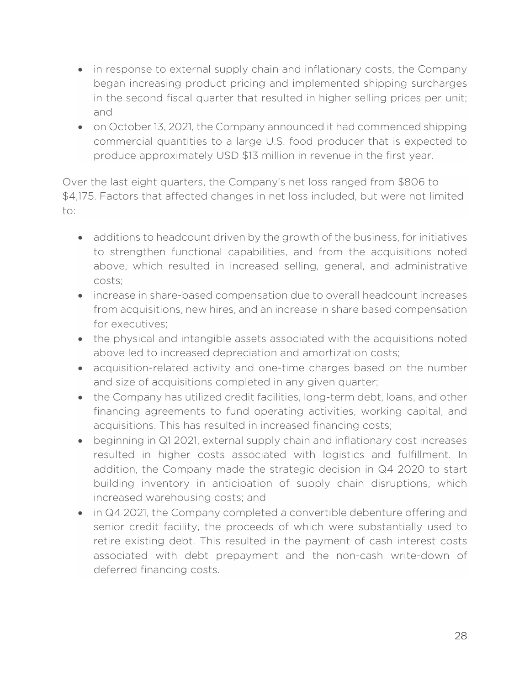- in response to external supply chain and inflationary costs, the Company began increasing product pricing and implemented shipping surcharges in the second fiscal quarter that resulted in higher selling prices per unit; and
- on October 13, 2021, the Company announced it had commenced shipping commercial quantities to a large U.S. food producer that is expected to produce approximately USD \$13 million in revenue in the first year.

Over the last eight quarters, the Company's net loss ranged from \$806 to \$4,175. Factors that affected changes in net loss included, but were not limited to:

- additions to headcount driven by the growth of the business, for initiatives to strengthen functional capabilities, and from the acquisitions noted above, which resulted in increased selling, general, and administrative costs;
- increase in share-based compensation due to overall headcount increases from acquisitions, new hires, and an increase in share based compensation for executives;
- the physical and intangible assets associated with the acquisitions noted above led to increased depreciation and amortization costs;
- acquisition-related activity and one-time charges based on the number and size of acquisitions completed in any given quarter;
- the Company has utilized credit facilities, long-term debt, loans, and other financing agreements to fund operating activities, working capital, and acquisitions. This has resulted in increased financing costs;
- beginning in Q1 2021, external supply chain and inflationary cost increases resulted in higher costs associated with logistics and fulfillment. In addition, the Company made the strategic decision in Q4 2020 to start building inventory in anticipation of supply chain disruptions, which increased warehousing costs; and
- in Q4 2021, the Company completed a convertible debenture offering and senior credit facility, the proceeds of which were substantially used to retire existing debt. This resulted in the payment of cash interest costs associated with debt prepayment and the non-cash write-down of deferred financing costs.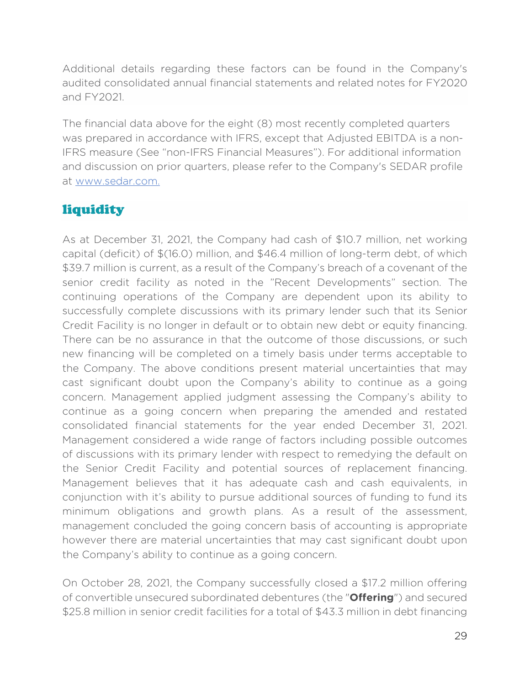Additional details regarding these factors can be found in the Company's audited consolidated annual financial statements and related notes for FY2020 and FY2021.

The financial data above for the eight (8) most recently completed quarters was prepared in accordance with IFRS, except that Adjusted EBITDA is a non-IFRS measure (See "non-IFRS Financial Measures"). For additional information and discussion on prior quarters, please refer to the Company's SEDAR profile at www.sedar.com.

## **liquidity**

As at December 31, 2021, the Company had cash of \$10.7 million, net working capital (deficit) of \$(16.0) million, and \$46.4 million of long-term debt, of which \$39.7 million is current, as a result of the Company's breach of a covenant of the senior credit facility as noted in the "Recent Developments" section. The continuing operations of the Company are dependent upon its ability to successfully complete discussions with its primary lender such that its Senior Credit Facility is no longer in default or to obtain new debt or equity financing. There can be no assurance in that the outcome of those discussions, or such new financing will be completed on a timely basis under terms acceptable to the Company. The above conditions present material uncertainties that may cast significant doubt upon the Company's ability to continue as a going concern. Management applied judgment assessing the Company's ability to continue as a going concern when preparing the amended and restated consolidated financial statements for the year ended December 31, 2021. Management considered a wide range of factors including possible outcomes of discussions with its primary lender with respect to remedying the default on the Senior Credit Facility and potential sources of replacement financing. Management believes that it has adequate cash and cash equivalents, in conjunction with it's ability to pursue additional sources of funding to fund its minimum obligations and growth plans. As a result of the assessment, management concluded the going concern basis of accounting is appropriate however there are material uncertainties that may cast significant doubt upon the Company's ability to continue as a going concern.

On October 28, 2021, the Company successfully closed a \$17.2 million offering of convertible unsecured subordinated debentures (the "**Offering**") and secured \$25.8 million in senior credit facilities for a total of \$43.3 million in debt financing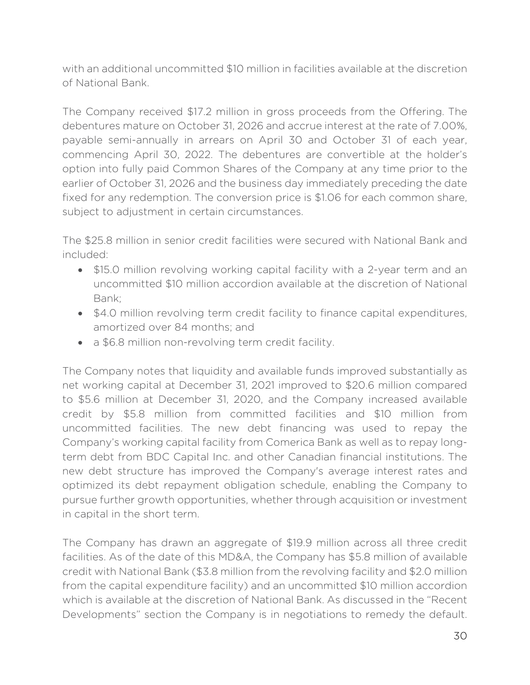with an additional uncommitted \$10 million in facilities available at the discretion of National Bank.

The Company received \$17.2 million in gross proceeds from the Offering. The debentures mature on October 31, 2026 and accrue interest at the rate of 7.00%, payable semi-annually in arrears on April 30 and October 31 of each year, commencing April 30, 2022. The debentures are convertible at the holder's option into fully paid Common Shares of the Company at any time prior to the earlier of October 31, 2026 and the business day immediately preceding the date fixed for any redemption. The conversion price is \$1.06 for each common share, subject to adjustment in certain circumstances.

The \$25.8 million in senior credit facilities were secured with National Bank and included:

- \$15.0 million revolving working capital facility with a 2-year term and an uncommitted \$10 million accordion available at the discretion of National Bank;
- \$4.0 million revolving term credit facility to finance capital expenditures, amortized over 84 months; and
- a \$6.8 million non-revolving term credit facility.

The Company notes that liquidity and available funds improved substantially as net working capital at December 31, 2021 improved to \$20.6 million compared to \$5.6 million at December 31, 2020, and the Company increased available credit by \$5.8 million from committed facilities and \$10 million from uncommitted facilities. The new debt financing was used to repay the Company's working capital facility from Comerica Bank as well as to repay longterm debt from BDC Capital Inc. and other Canadian financial institutions. The new debt structure has improved the Company's average interest rates and optimized its debt repayment obligation schedule, enabling the Company to pursue further growth opportunities, whether through acquisition or investment in capital in the short term.

The Company has drawn an aggregate of \$19.9 million across all three credit facilities. As of the date of this MD&A, the Company has \$5.8 million of available credit with National Bank (\$3.8 million from the revolving facility and \$2.0 million from the capital expenditure facility) and an uncommitted \$10 million accordion which is available at the discretion of National Bank. As discussed in the "Recent Developments" section the Company is in negotiations to remedy the default.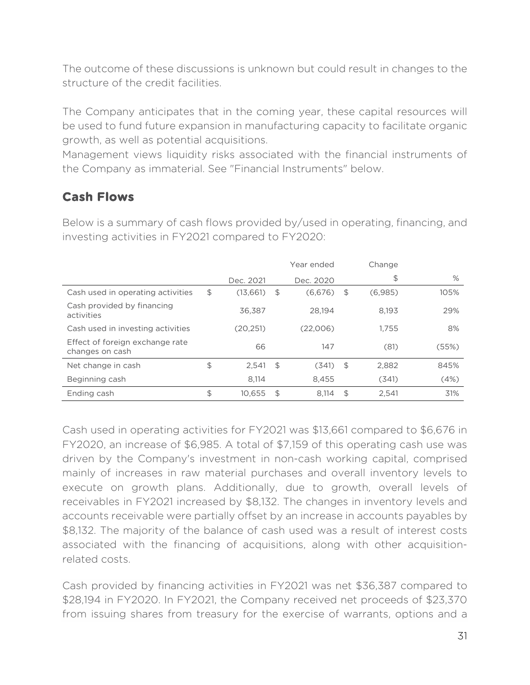The outcome of these discussions is unknown but could result in changes to the structure of the credit facilities.

The Company anticipates that in the coming year, these capital resources will be used to fund future expansion in manufacturing capacity to facilitate organic growth, as well as potential acquisitions.

Management views liquidity risks associated with the financial instruments of the Company as immaterial. See "Financial Instruments" below.

# **Cash Flows**

|                                                    |                | Year ended    | Change        |       |
|----------------------------------------------------|----------------|---------------|---------------|-------|
|                                                    | Dec. 2021      | Dec. 2020     | \$            | %     |
| Cash used in operating activities                  | \$<br>(13,661) | \$<br>(6,676) | \$<br>(6,985) | 105%  |
| Cash provided by financing<br>activities           | 36.387         | 28.194        | 8.193         | 29%   |
| Cash used in investing activities                  | (20, 251)      | (22,006)      | 1.755         | 8%    |
| Effect of foreign exchange rate<br>changes on cash | 66             | 147           | (81)          | (55%) |
| Net change in cash                                 | \$<br>2.541    | \$<br>(341)   | \$<br>2.882   | 845%  |
| Beginning cash                                     | 8.114          | 8.455         | (341)         | (4%)  |
| Ending cash                                        | \$<br>10.655   | \$<br>8.114   | \$<br>2.541   | 31%   |

Below is a summary of cash flows provided by/used in operating, financing, and investing activities in FY2021 compared to FY2020:

Cash used in operating activities for FY2021 was \$13,661 compared to \$6,676 in FY2020, an increase of \$6,985. A total of \$7,159 of this operating cash use was driven by the Company's investment in non-cash working capital, comprised mainly of increases in raw material purchases and overall inventory levels to execute on growth plans. Additionally, due to growth, overall levels of receivables in FY2021 increased by \$8,132. The changes in inventory levels and accounts receivable were partially offset by an increase in accounts payables by \$8,132. The majority of the balance of cash used was a result of interest costs associated with the financing of acquisitions, along with other acquisitionrelated costs.

Cash provided by financing activities in FY2021 was net \$36,387 compared to \$28,194 in FY2020. In FY2021, the Company received net proceeds of \$23,370 from issuing shares from treasury for the exercise of warrants, options and a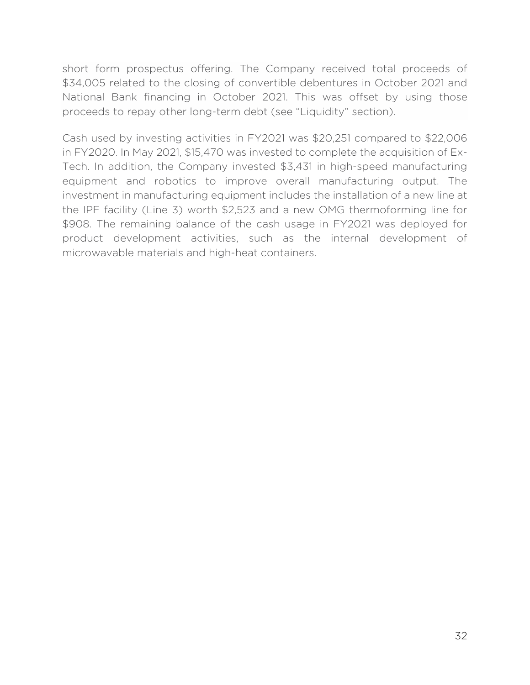short form prospectus offering. The Company received total proceeds of \$34,005 related to the closing of convertible debentures in October 2021 and National Bank financing in October 2021. This was offset by using those proceeds to repay other long-term debt (see "Liquidity" section).

Cash used by investing activities in FY2021 was \$20,251 compared to \$22,006 in FY2020. In May 2021, \$15,470 was invested to complete the acquisition of Ex-Tech. In addition, the Company invested \$3,431 in high-speed manufacturing equipment and robotics to improve overall manufacturing output. The investment in manufacturing equipment includes the installation of a new line at the IPF facility (Line 3) worth \$2,523 and a new OMG thermoforming line for \$908. The remaining balance of the cash usage in FY2021 was deployed for product development activities, such as the internal development of microwavable materials and high-heat containers.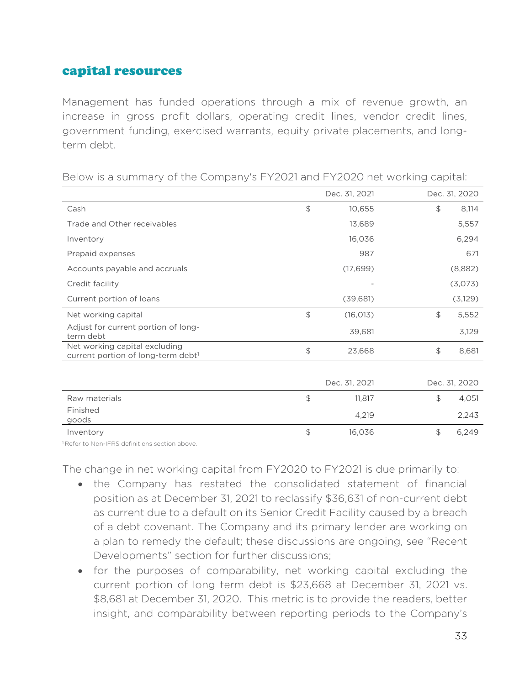#### capital resources

Management has funded operations through a mix of revenue growth, an increase in gross profit dollars, operating credit lines, vendor credit lines, government funding, exercised warrants, equity private placements, and longterm debt.

|                                                                     |                                | Dec. 31, 2021 | Dec. 31, 2020           |
|---------------------------------------------------------------------|--------------------------------|---------------|-------------------------|
| Cash                                                                | $\textcircled{\scriptsize{+}}$ | 10,655        | \$<br>8,114             |
| Trade and Other receivables                                         |                                | 13,689        | 5,557                   |
| Inventory                                                           |                                | 16,036        | 6,294                   |
| Prepaid expenses                                                    |                                | 987           | 671                     |
| Accounts payable and accruals                                       |                                | (17,699)      | (8,882)                 |
| Credit facility                                                     |                                |               | (3,073)                 |
| Current portion of loans                                            |                                | (39,681)      | (3,129)                 |
| Net working capital                                                 | $\frac{1}{2}$                  | (16, 013)     | $\mathfrak{P}$<br>5,552 |
| Adjust for current portion of long-<br>term debt                    |                                | 39,681        | 3,129                   |
| Net working capital excluding<br>current portion of long-term debt1 | $\frac{1}{2}$                  | 23,668        | \$<br>8,681             |
|                                                                     |                                |               |                         |
|                                                                     |                                | Dec. 31, 2021 | Dec. 31, 2020           |
| Raw materials                                                       | $\mathfrak{S}$                 | 11,817        | \$<br>4,051             |
| Finished<br>goods                                                   |                                | 4,219         | 2,243                   |
| Inventory                                                           | $\frac{1}{2}$                  | 16,036        | \$<br>6,249             |

Below is a summary of the Company's FY2021 and FY2020 net working capital:

<sup>1</sup> Refer to Non-IFRS definitions section above.

The change in net working capital from FY2020 to FY2021 is due primarily to:

- the Company has restated the consolidated statement of financial position as at December 31, 2021 to reclassify \$36,631 of non-current debt as current due to a default on its Senior Credit Facility caused by a breach of a debt covenant. The Company and its primary lender are working on a plan to remedy the default; these discussions are ongoing, see "Recent Developments" section for further discussions;
- for the purposes of comparability, net working capital excluding the current portion of long term debt is \$23,668 at December 31, 2021 vs. \$8,681 at December 31, 2020. This metric is to provide the readers, better insight, and comparability between reporting periods to the Company's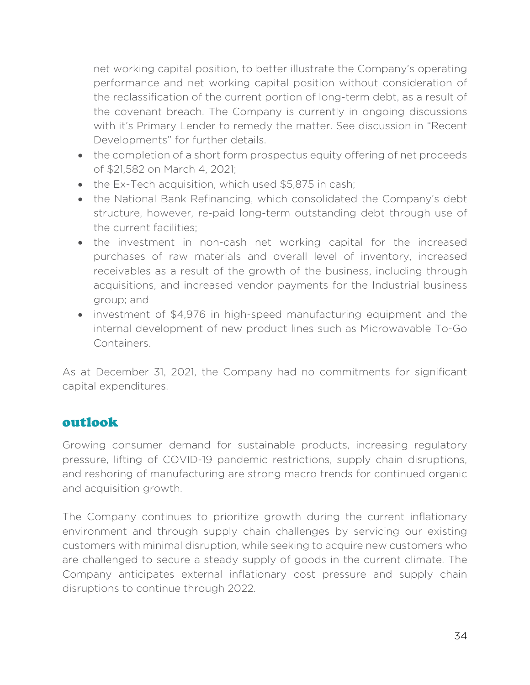net working capital position, to better illustrate the Company's operating performance and net working capital position without consideration of the reclassification of the current portion of long-term debt, as a result of the covenant breach. The Company is currently in ongoing discussions with it's Primary Lender to remedy the matter. See discussion in "Recent Developments" for further details.

- the completion of a short form prospectus equity offering of net proceeds of \$21,582 on March 4, 2021;
- the Ex-Tech acquisition, which used \$5,875 in cash;
- the National Bank Refinancing, which consolidated the Company's debt structure, however, re-paid long-term outstanding debt through use of the current facilities;
- the investment in non-cash net working capital for the increased purchases of raw materials and overall level of inventory, increased receivables as a result of the growth of the business, including through acquisitions, and increased vendor payments for the Industrial business group; and
- investment of \$4,976 in high-speed manufacturing equipment and the internal development of new product lines such as Microwavable To-Go Containers.

As at December 31, 2021, the Company had no commitments for significant capital expenditures.

### outlook

Growing consumer demand for sustainable products, increasing regulatory pressure, lifting of COVID-19 pandemic restrictions, supply chain disruptions, and reshoring of manufacturing are strong macro trends for continued organic and acquisition growth.

The Company continues to prioritize growth during the current inflationary environment and through supply chain challenges by servicing our existing customers with minimal disruption, while seeking to acquire new customers who are challenged to secure a steady supply of goods in the current climate. The Company anticipates external inflationary cost pressure and supply chain disruptions to continue through 2022.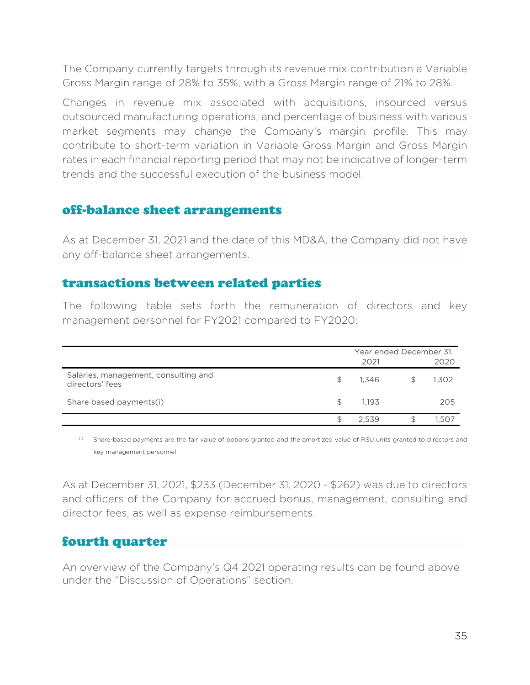The Company currently targets through its revenue mix contribution a Variable Gross Margin range of 28% to 35%, with a Gross Margin range of 21% to 28%.

Changes in revenue mix associated with acquisitions, insourced versus outsourced manufacturing operations, and percentage of business with various market segments may change the Company's margin profile. This may contribute to short-term variation in Variable Gross Margin and Gross Margin rates in each financial reporting period that may not be indicative of longer-term trends and the successful execution of the business model.

#### off-balance sheet arrangements

As at December 31, 2021 and the date of this MD&A, the Company did not have any off-balance sheet arrangements.

#### transactions between related parties

The following table sets forth the remuneration of directors and key management personnel for FY2021 compared to FY2020:

|                                                         |                | Year ended December 31, |  |       |
|---------------------------------------------------------|----------------|-------------------------|--|-------|
|                                                         |                | 2021                    |  | 2020  |
| Salaries, management, consulting and<br>directors' fees | $\mathfrak{L}$ | 1.346                   |  | 1,302 |
| Share based payments(i)                                 | £.             | 1.193                   |  | 205   |
|                                                         |                | 2539                    |  | 1.507 |

(i) Share-based payments are the fair value of options granted and the amortized value of RSU units granted to directors and key management personnel.

As at December 31, 2021, \$233 (December 31, 2020 - \$262) was due to directors and officers of the Company for accrued bonus, management, consulting and director fees, as well as expense reimbursements.

### fourth quarter

An overview of the Company's Q4 2021 operating results can be found above under the "Discussion of Operations" section.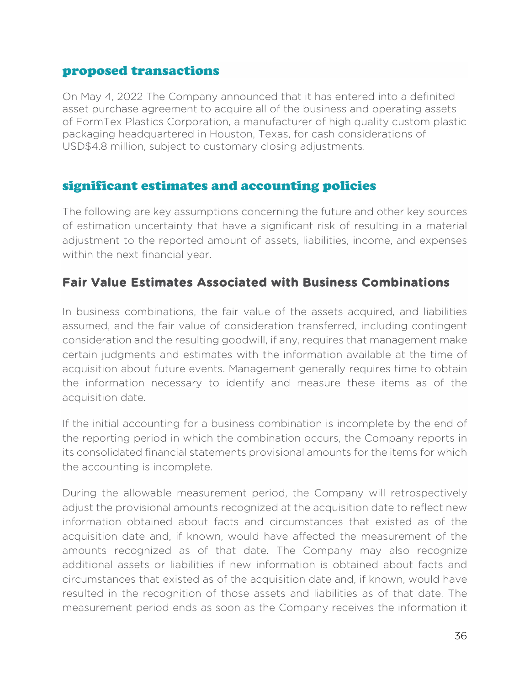#### proposed transactions

On May 4, 2022 The Company announced that it has entered into a definited asset purchase agreement to acquire all of the business and operating assets of FormTex Plastics Corporation, a manufacturer of high quality custom plastic packaging headquartered in Houston, Texas, for cash considerations of USD\$4.8 million, subject to customary closing adjustments.

#### significant estimates and accounting policies

The following are key assumptions concerning the future and other key sources of estimation uncertainty that have a significant risk of resulting in a material adjustment to the reported amount of assets, liabilities, income, and expenses within the next financial year.

### **Fair Value Estimates Associated with Business Combinations**

In business combinations, the fair value of the assets acquired, and liabilities assumed, and the fair value of consideration transferred, including contingent consideration and the resulting goodwill, if any, requires that management make certain judgments and estimates with the information available at the time of acquisition about future events. Management generally requires time to obtain the information necessary to identify and measure these items as of the acquisition date.

If the initial accounting for a business combination is incomplete by the end of the reporting period in which the combination occurs, the Company reports in its consolidated financial statements provisional amounts for the items for which the accounting is incomplete.

During the allowable measurement period, the Company will retrospectively adjust the provisional amounts recognized at the acquisition date to reflect new information obtained about facts and circumstances that existed as of the acquisition date and, if known, would have affected the measurement of the amounts recognized as of that date. The Company may also recognize additional assets or liabilities if new information is obtained about facts and circumstances that existed as of the acquisition date and, if known, would have resulted in the recognition of those assets and liabilities as of that date. The measurement period ends as soon as the Company receives the information it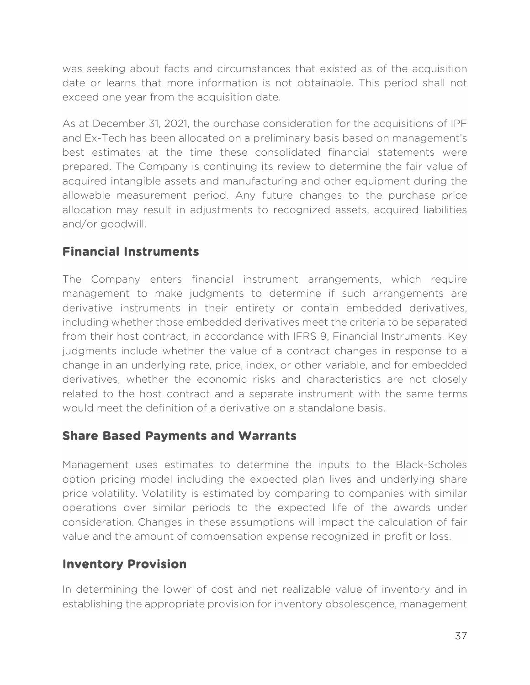was seeking about facts and circumstances that existed as of the acquisition date or learns that more information is not obtainable. This period shall not exceed one year from the acquisition date.

As at December 31, 2021, the purchase consideration for the acquisitions of IPF and Ex-Tech has been allocated on a preliminary basis based on management's best estimates at the time these consolidated financial statements were prepared. The Company is continuing its review to determine the fair value of acquired intangible assets and manufacturing and other equipment during the allowable measurement period. Any future changes to the purchase price allocation may result in adjustments to recognized assets, acquired liabilities and/or goodwill.

## **Financial Instruments**

The Company enters financial instrument arrangements, which require management to make judgments to determine if such arrangements are derivative instruments in their entirety or contain embedded derivatives, including whether those embedded derivatives meet the criteria to be separated from their host contract, in accordance with IFRS 9, Financial Instruments. Key judgments include whether the value of a contract changes in response to a change in an underlying rate, price, index, or other variable, and for embedded derivatives, whether the economic risks and characteristics are not closely related to the host contract and a separate instrument with the same terms would meet the definition of a derivative on a standalone basis.

### **Share Based Payments and Warrants**

Management uses estimates to determine the inputs to the Black-Scholes option pricing model including the expected plan lives and underlying share price volatility. Volatility is estimated by comparing to companies with similar operations over similar periods to the expected life of the awards under consideration. Changes in these assumptions will impact the calculation of fair value and the amount of compensation expense recognized in profit or loss.

### **Inventory Provision**

In determining the lower of cost and net realizable value of inventory and in establishing the appropriate provision for inventory obsolescence, management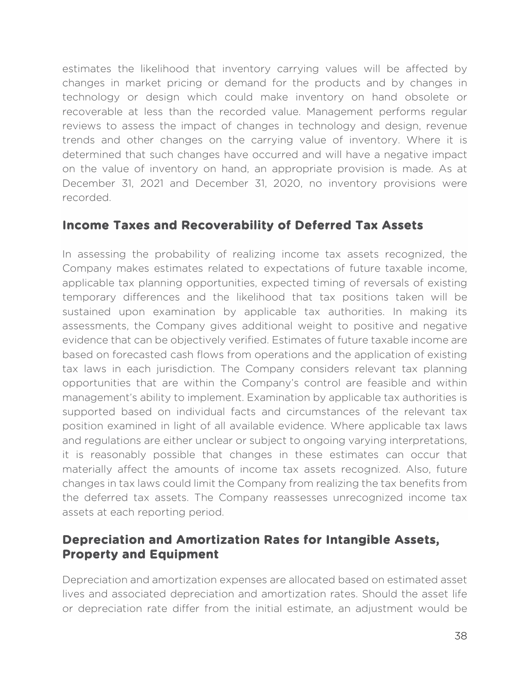estimates the likelihood that inventory carrying values will be affected by changes in market pricing or demand for the products and by changes in technology or design which could make inventory on hand obsolete or recoverable at less than the recorded value. Management performs regular reviews to assess the impact of changes in technology and design, revenue trends and other changes on the carrying value of inventory. Where it is determined that such changes have occurred and will have a negative impact on the value of inventory on hand, an appropriate provision is made. As at December 31, 2021 and December 31, 2020, no inventory provisions were recorded.

### **Income Taxes and Recoverability of Deferred Tax Assets**

In assessing the probability of realizing income tax assets recognized, the Company makes estimates related to expectations of future taxable income, applicable tax planning opportunities, expected timing of reversals of existing temporary differences and the likelihood that tax positions taken will be sustained upon examination by applicable tax authorities. In making its assessments, the Company gives additional weight to positive and negative evidence that can be objectively verified. Estimates of future taxable income are based on forecasted cash flows from operations and the application of existing tax laws in each jurisdiction. The Company considers relevant tax planning opportunities that are within the Company's control are feasible and within management's ability to implement. Examination by applicable tax authorities is supported based on individual facts and circumstances of the relevant tax position examined in light of all available evidence. Where applicable tax laws and regulations are either unclear or subject to ongoing varying interpretations, it is reasonably possible that changes in these estimates can occur that materially affect the amounts of income tax assets recognized. Also, future changes in tax laws could limit the Company from realizing the tax benefits from the deferred tax assets. The Company reassesses unrecognized income tax assets at each reporting period.

### **Depreciation and Amortization Rates for Intangible Assets, Property and Equipment**

Depreciation and amortization expenses are allocated based on estimated asset lives and associated depreciation and amortization rates. Should the asset life or depreciation rate differ from the initial estimate, an adjustment would be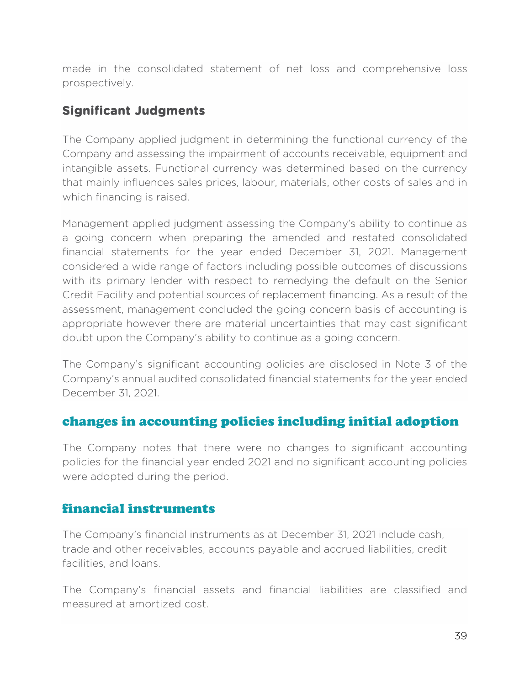made in the consolidated statement of net loss and comprehensive loss prospectively.

## **Significant Judgments**

The Company applied judgment in determining the functional currency of the Company and assessing the impairment of accounts receivable, equipment and intangible assets. Functional currency was determined based on the currency that mainly influences sales prices, labour, materials, other costs of sales and in which financing is raised.

Management applied judgment assessing the Company's ability to continue as a going concern when preparing the amended and restated consolidated financial statements for the year ended December 31, 2021. Management considered a wide range of factors including possible outcomes of discussions with its primary lender with respect to remedying the default on the Senior Credit Facility and potential sources of replacement financing. As a result of the assessment, management concluded the going concern basis of accounting is appropriate however there are material uncertainties that may cast significant doubt upon the Company's ability to continue as a going concern.

The Company's significant accounting policies are disclosed in Note 3 of the Company's annual audited consolidated financial statements for the year ended December 31, 2021.

## changes in accounting policies including initial adoption

The Company notes that there were no changes to significant accounting policies for the financial year ended 2021 and no significant accounting policies were adopted during the period.

### financial instruments

The Company's financial instruments as at December 31, 2021 include cash, trade and other receivables, accounts payable and accrued liabilities, credit facilities, and loans.

The Company's financial assets and financial liabilities are classified and measured at amortized cost.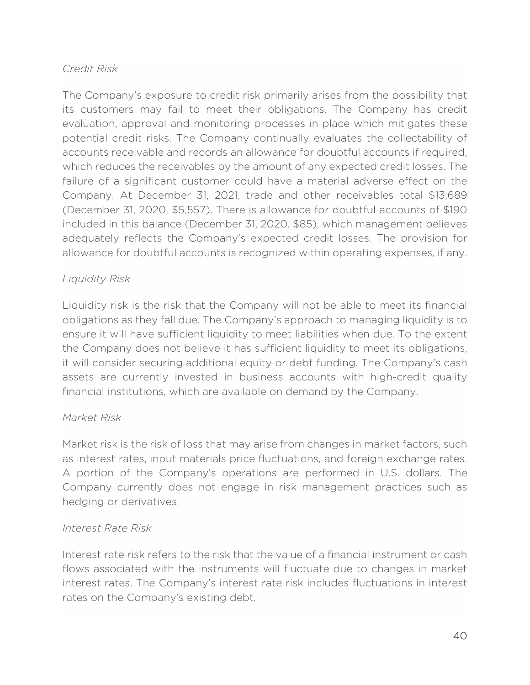#### *Credit Risk*

The Company's exposure to credit risk primarily arises from the possibility that its customers may fail to meet their obligations. The Company has credit evaluation, approval and monitoring processes in place which mitigates these potential credit risks. The Company continually evaluates the collectability of accounts receivable and records an allowance for doubtful accounts if required, which reduces the receivables by the amount of any expected credit losses. The failure of a significant customer could have a material adverse effect on the Company. At December 31, 2021, trade and other receivables total \$13,689 (December 31, 2020, \$5,557). There is allowance for doubtful accounts of \$190 included in this balance (December 31, 2020, \$85), which management believes adequately reflects the Company's expected credit losses. The provision for allowance for doubtful accounts is recognized within operating expenses, if any.

#### *Liquidity Risk*

Liquidity risk is the risk that the Company will not be able to meet its financial obligations as they fall due. The Company's approach to managing liquidity is to ensure it will have sufficient liquidity to meet liabilities when due. To the extent the Company does not believe it has sufficient liquidity to meet its obligations, it will consider securing additional equity or debt funding. The Company's cash assets are currently invested in business accounts with high-credit quality financial institutions, which are available on demand by the Company.

#### *Market Risk*

Market risk is the risk of loss that may arise from changes in market factors, such as interest rates, input materials price fluctuations, and foreign exchange rates. A portion of the Company's operations are performed in U.S. dollars. The Company currently does not engage in risk management practices such as hedging or derivatives.

#### *Interest Rate Risk*

Interest rate risk refers to the risk that the value of a financial instrument or cash flows associated with the instruments will fluctuate due to changes in market interest rates. The Company's interest rate risk includes fluctuations in interest rates on the Company's existing debt.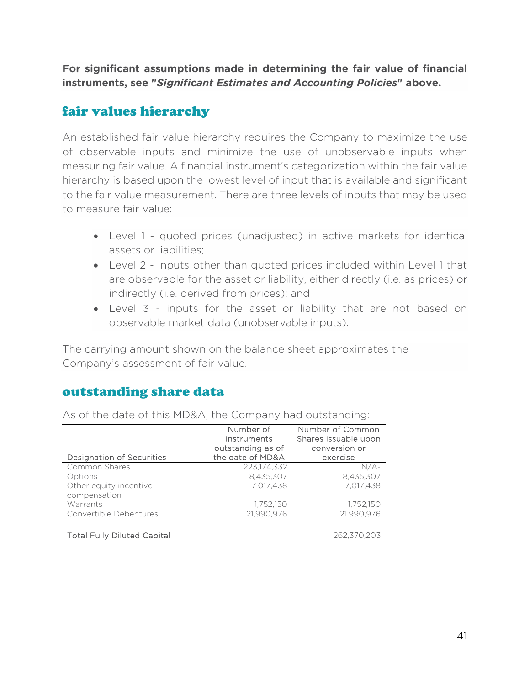**For significant assumptions made in determining the fair value of financial instruments, see "***Significant Estimates and Accounting Policies***" above.** 

### fair values hierarchy

An established fair value hierarchy requires the Company to maximize the use of observable inputs and minimize the use of unobservable inputs when measuring fair value. A financial instrument's categorization within the fair value hierarchy is based upon the lowest level of input that is available and significant to the fair value measurement. There are three levels of inputs that may be used to measure fair value:

- Level 1 quoted prices (unadjusted) in active markets for identical assets or liabilities;
- Level 2 inputs other than quoted prices included within Level 1 that are observable for the asset or liability, either directly (i.e. as prices) or indirectly (i.e. derived from prices); and
- Level 3 inputs for the asset or liability that are not based on observable market data (unobservable inputs).

The carrying amount shown on the balance sheet approximates the Company's assessment of fair value.

### outstanding share data

As of the date of this MD&A, the Company had outstanding:

| Designation of Securities                                                      | Number of<br>instruments<br>outstanding as of<br>the date of MD&A | Number of Common<br>Shares issuable upon<br>conversion or<br>exercise |
|--------------------------------------------------------------------------------|-------------------------------------------------------------------|-----------------------------------------------------------------------|
| Common Shares<br>Options<br>Other equity incentive<br>compensation<br>Warrants | 223,174,332<br>8,435,307<br>7.017.438<br>1,752,150                | $N/A-$<br>8,435,307<br>7,017,438<br>1,752,150                         |
| Convertible Debentures<br><b>Total Fully Diluted Capital</b>                   | 21,990,976                                                        | 21.990.976<br>262.370.203                                             |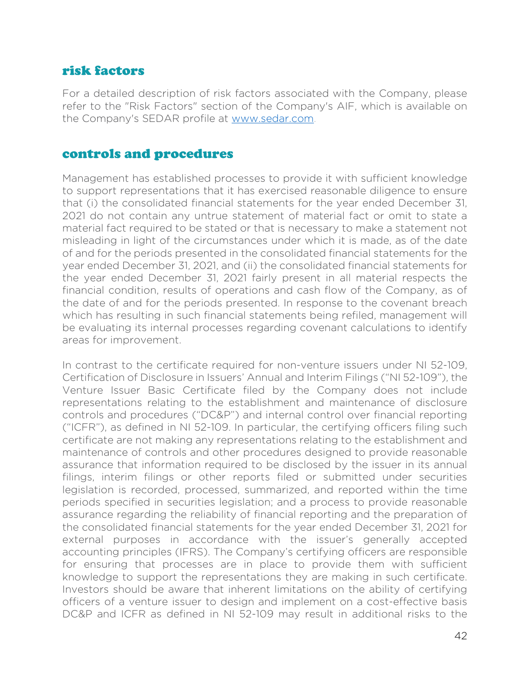#### risk factors

For a detailed description of risk factors associated with the Company, please refer to the "Risk Factors" section of the Company's AIF, which is available on the Company's SEDAR profile at www.sedar.com.

#### controls and procedures

Management has established processes to provide it with sufficient knowledge to support representations that it has exercised reasonable diligence to ensure that (i) the consolidated financial statements for the year ended December 31, 2021 do not contain any untrue statement of material fact or omit to state a material fact required to be stated or that is necessary to make a statement not misleading in light of the circumstances under which it is made, as of the date of and for the periods presented in the consolidated financial statements for the year ended December 31, 2021, and (ii) the consolidated financial statements for the year ended December 31, 2021 fairly present in all material respects the financial condition, results of operations and cash flow of the Company, as of the date of and for the periods presented. In response to the covenant breach which has resulting in such financial statements being refiled, management will be evaluating its internal processes regarding covenant calculations to identify areas for improvement.

In contrast to the certificate required for non-venture issuers under NI 52-109, Certification of Disclosure in Issuers' Annual and Interim Filings ("NI 52-109"), the Venture Issuer Basic Certificate filed by the Company does not include representations relating to the establishment and maintenance of disclosure controls and procedures ("DC&P") and internal control over financial reporting ("ICFR"), as defined in NI 52-109. In particular, the certifying officers filing such certificate are not making any representations relating to the establishment and maintenance of controls and other procedures designed to provide reasonable assurance that information required to be disclosed by the issuer in its annual filings, interim filings or other reports filed or submitted under securities legislation is recorded, processed, summarized, and reported within the time periods specified in securities legislation; and a process to provide reasonable assurance regarding the reliability of financial reporting and the preparation of the consolidated financial statements for the year ended December 31, 2021 for external purposes in accordance with the issuer's generally accepted accounting principles (IFRS). The Company's certifying officers are responsible for ensuring that processes are in place to provide them with sufficient knowledge to support the representations they are making in such certificate. Investors should be aware that inherent limitations on the ability of certifying officers of a venture issuer to design and implement on a cost-effective basis DC&P and ICFR as defined in NI 52-109 may result in additional risks to the